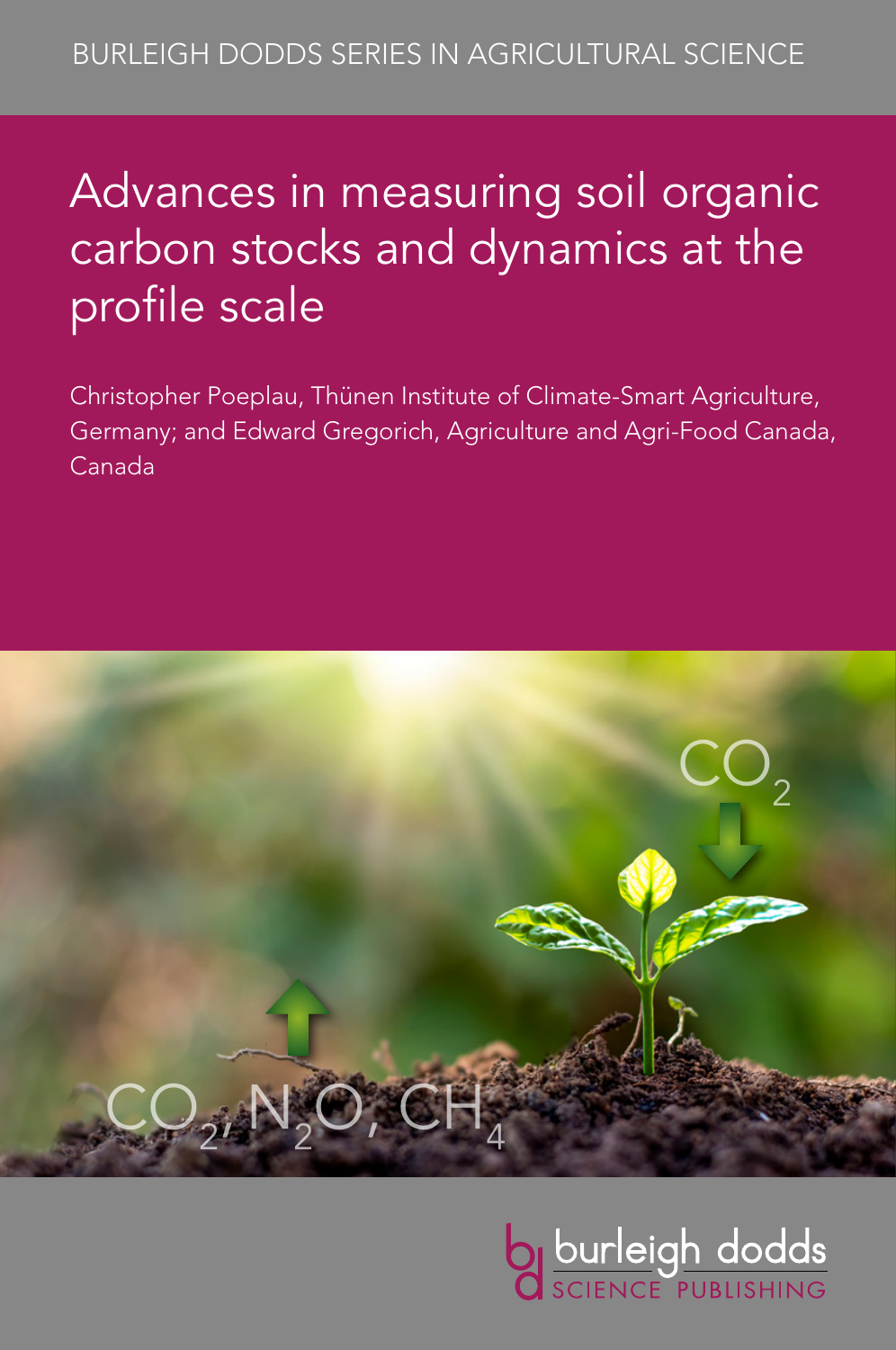# Advances in measuring soil organic carbon stocks and dynamics at the profile scale

Christopher Poeplau, Thünen Institute of Climate-Smart Agriculture, Germany; and Edward Gregorich, Agriculture and Agri-Food Canada, Canada



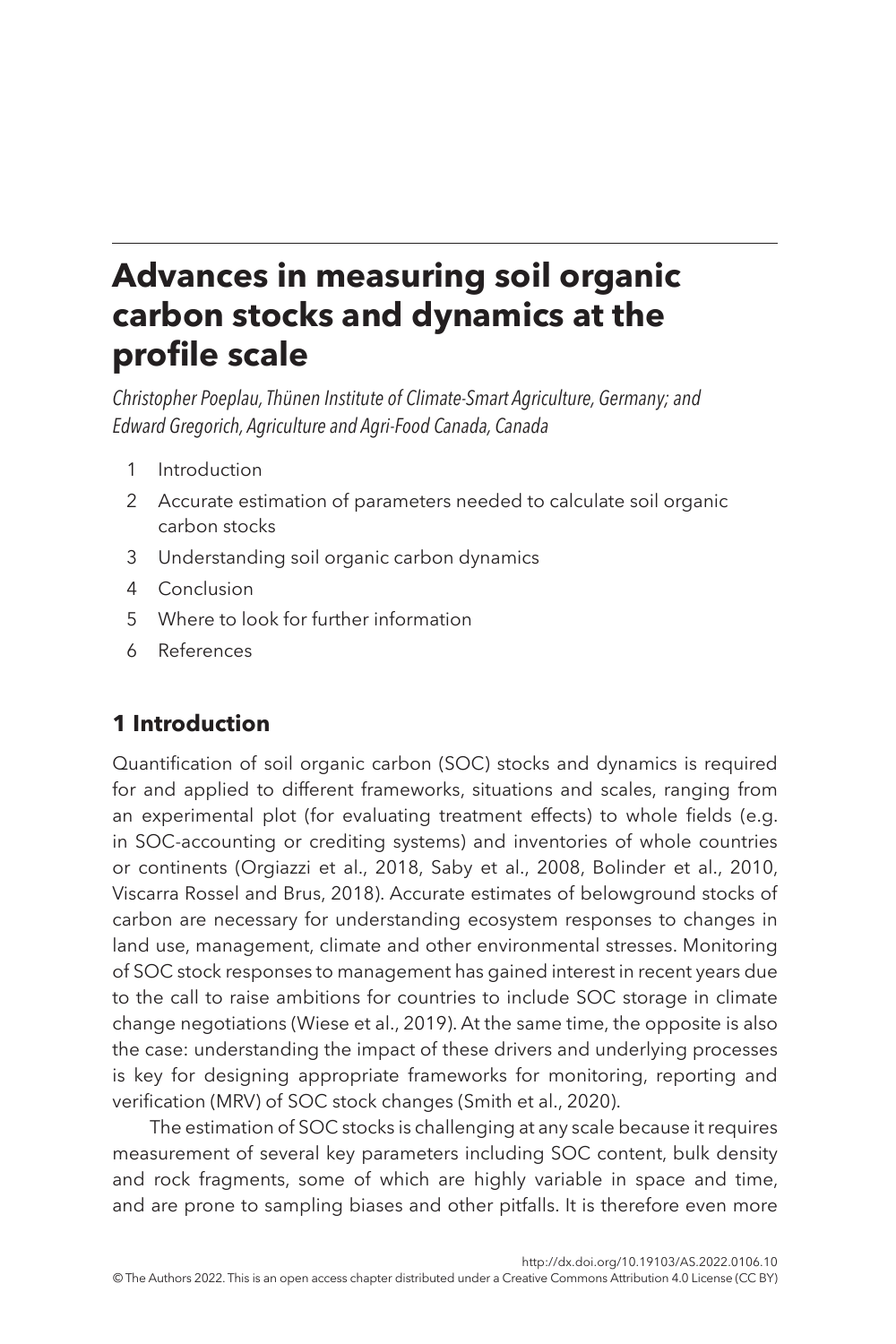# **Advances in measuring soil organic carbon stocks and dynamics at the profile scale**

*Christopher Poeplau, Thünen Institute of Climate-Smart Agriculture, Germany; and Edward Gregorich, Agriculture and Agri-Food Canada, Canada*

- <span id="page-1-1"></span>1 [Introduction](#page-1-0)
- <span id="page-1-2"></span>2 [Accurate estimation of parameters needed to calculate soil organic](#page-2-0)  [carbon stocks](#page-2-0)
- <span id="page-1-3"></span>3 [Understanding soil organic carbon dynamics](#page-10-0)
- <span id="page-1-4"></span>4 [Conclusion](#page-19-0)
- <span id="page-1-5"></span>5 [Where to look for further information](#page-20-0)
- <span id="page-1-6"></span>6 [References](#page-21-0)

# <span id="page-1-0"></span>**[1 Introduction](#page-1-1)**

Quantification of soil organic carbon (SOC) stocks and dynamics is required for and applied to different frameworks, situations and scales, ranging from an experimental plot (for evaluating treatment effects) to whole fields (e.g. in SOC-accounting or crediting systems) and inventories of whole countries or continents ([Orgiazzi et al., 2018](#page-24-0), [Saby et al., 2008](#page-25-0), [Bolinder et al., 2010,](#page-21-1) Viscarra Rossel and Brus, [2018](#page-27-0)). Accurate estimates of belowground stocks of carbon are necessary for understanding ecosystem responses to changes in land use, management, climate and other environmental stresses. Monitoring of SOC stock responses to management has gained interest in recent years due to the call to raise ambitions for countries to include SOC storage in climate change negotiations ([Wiese et al., 2019\)](#page-27-1). At the same time, the opposite is also the case: understanding the impact of these drivers and underlying processes is key for designing appropriate frameworks for monitoring, reporting and verification (MRV) of SOC stock changes [\(Smith et al., 2020\)](#page-26-0).

The estimation of SOC stocks is challenging at any scale because it requires measurement of several key parameters including SOC content, bulk density and rock fragments, some of which are highly variable in space and time, and are prone to sampling biases and other pitfalls. It is therefore even more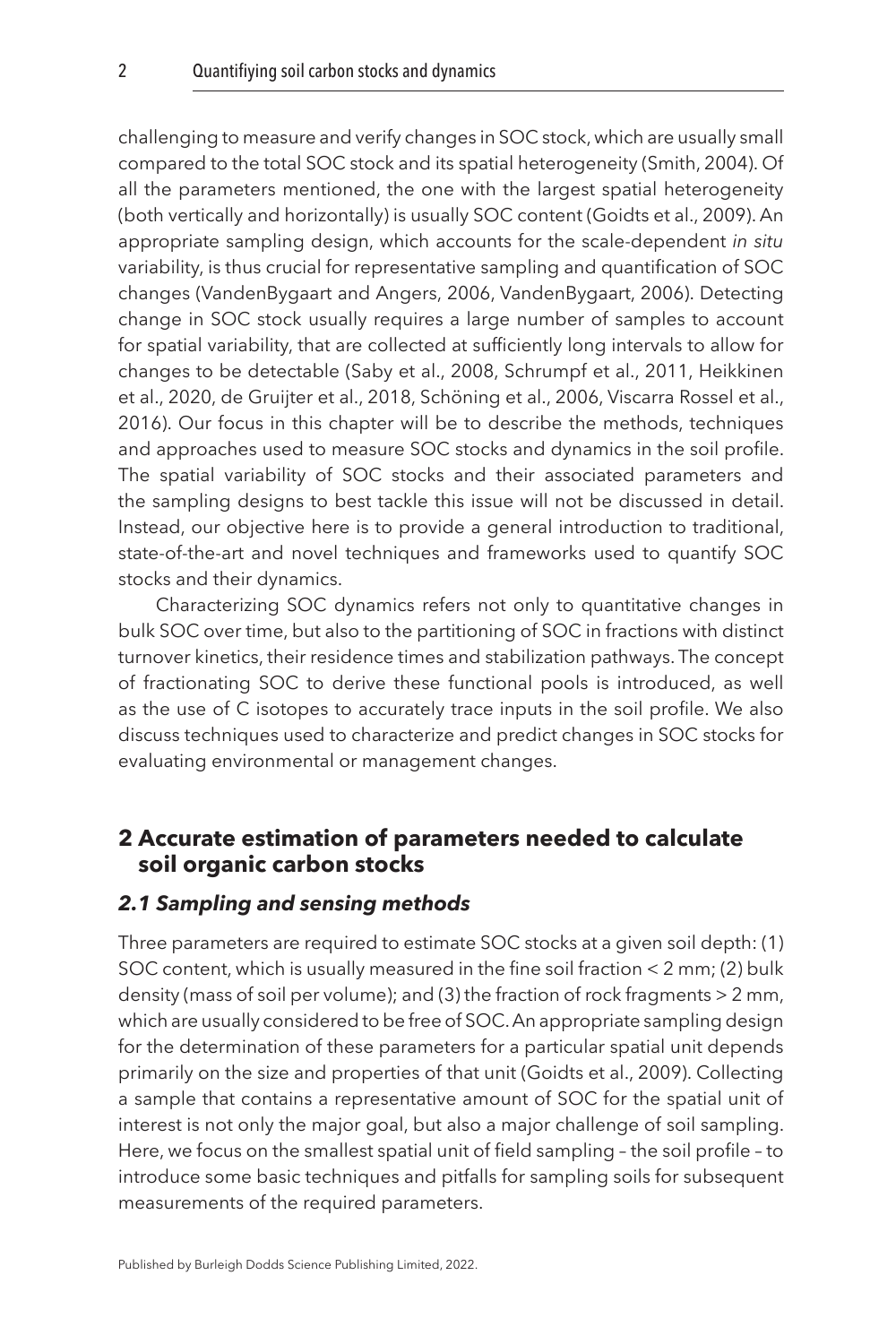challenging to measure and verify changes in SOC stock, which are usually small compared to the total SOC stock and its spatial heterogeneity [\(Smith, 2004\)](#page-26-1). Of all the parameters mentioned, the one with the largest spatial heterogeneity (both vertically and horizontally) is usually SOC content ([Goidts et al., 2009\)](#page-23-0). An appropriate sampling design, which accounts for the scale-dependent *in situ* variability, is thus crucial for representative sampling and quantification of SOC changes ([VandenBygaart and Angers, 2006,](#page-27-2) [VandenBygaart, 2006\)](#page-27-3). Detecting change in SOC stock usually requires a large number of samples to account for spatial variability, that are collected at sufficiently long intervals to allow for changes to be detectable ([Saby et al., 2008,](#page-25-0) [Schrumpf et al., 2011](#page-26-2), [Heikkinen](#page-23-1)  [et al., 2020,](#page-23-1) [de Gruijter et al., 2018,](#page-22-0) [Schöning et al., 2006,](#page-26-3) [Viscarra Rossel et al.,](#page-27-4)  [2016\)](#page-27-4). Our focus in this chapter will be to describe the methods, techniques and approaches used to measure SOC stocks and dynamics in the soil profile. The spatial variability of SOC stocks and their associated parameters and the sampling designs to best tackle this issue will not be discussed in detail. Instead, our objective here is to provide a general introduction to traditional, state-of-the-art and novel techniques and frameworks used to quantify SOC stocks and their dynamics.

Characterizing SOC dynamics refers not only to quantitative changes in bulk SOC over time, but also to the partitioning of SOC in fractions with distinct turnover kinetics, their residence times and stabilization pathways. The concept of fractionating SOC to derive these functional pools is introduced, as well as the use of C isotopes to accurately trace inputs in the soil profile. We also discuss techniques used to characterize and predict changes in SOC stocks for evaluating environmental or management changes.

## <span id="page-2-0"></span>**[2 Accurate estimation of parameters needed to calculate](#page-1-2)  [soil organic carbon stocks](#page-1-2)**

#### *2.1 Sampling and sensing methods*

Three parameters are required to estimate SOC stocks at a given soil depth: (1) SOC content, which is usually measured in the fine soil fraction < 2 mm; (2) bulk density (mass of soil per volume); and (3) the fraction of rock fragments > 2 mm, which are usually considered to be free of SOC. An appropriate sampling design for the determination of these parameters for a particular spatial unit depends primarily on the size and properties of that unit [\(Goidts et al., 2009\)](#page-23-0). Collecting a sample that contains a representative amount of SOC for the spatial unit of interest is not only the major goal, but also a major challenge of soil sampling. Here, we focus on the smallest spatial unit of field sampling – the soil profile – to introduce some basic techniques and pitfalls for sampling soils for subsequent measurements of the required parameters.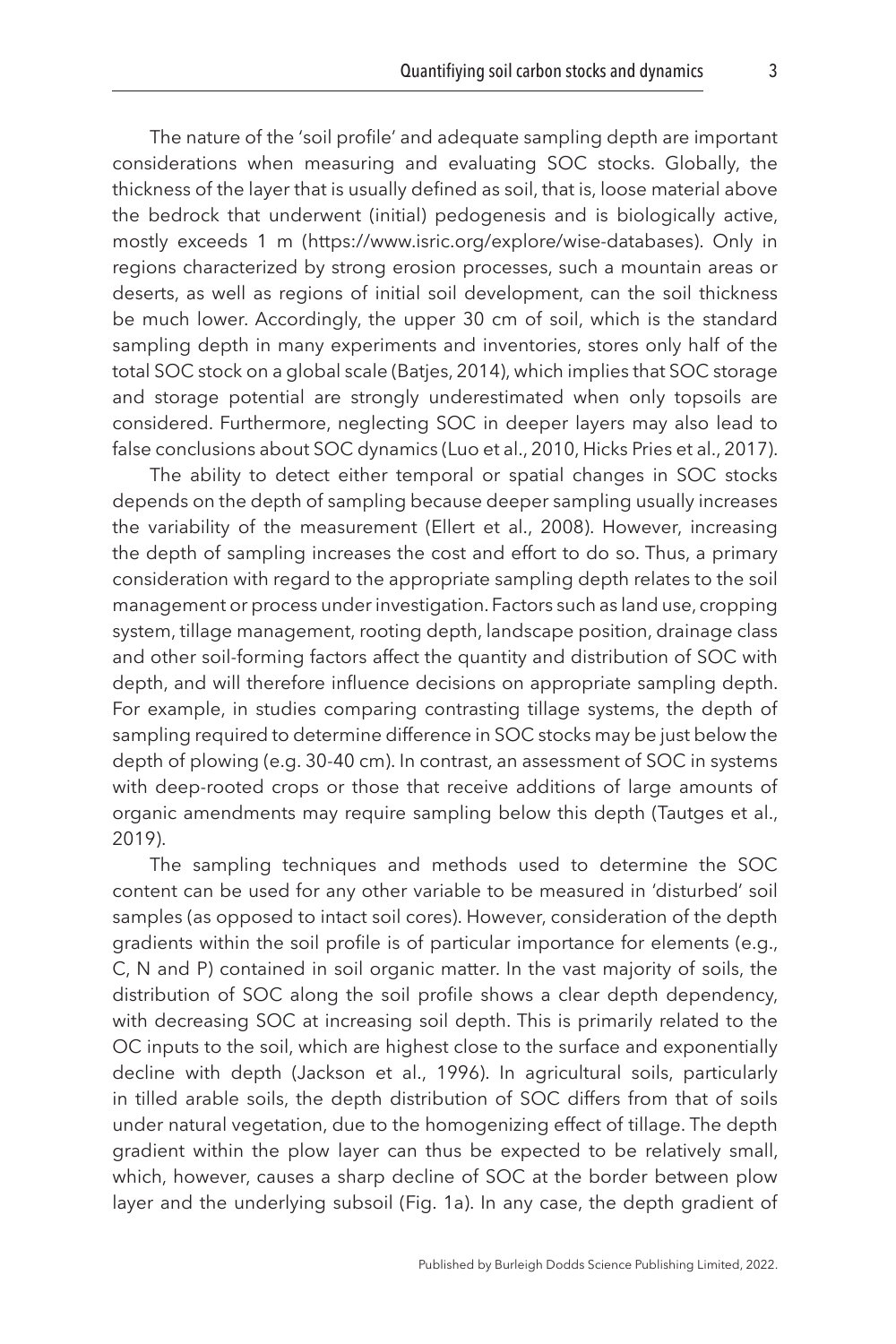The nature of the 'soil profile' and adequate sampling depth are important considerations when measuring and evaluating SOC stocks. Globally, the thickness of the layer that is usually defined as soil, that is, loose material above the bedrock that underwent (initial) pedogenesis and is biologically active, mostly exceeds 1 m (https://www.isric.org/explore/wise-databases). Only in regions characterized by strong erosion processes, such a mountain areas or deserts, as well as regions of initial soil development, can the soil thickness be much lower. Accordingly, the upper 30 cm of soil, which is the standard sampling depth in many experiments and inventories, stores only half of the total SOC stock on a global scale [\(Batjes, 2014\)](#page-21-2), which implies that SOC storage and storage potential are strongly underestimated when only topsoils are considered. Furthermore, neglecting SOC in deeper layers may also lead to false conclusions about SOC dynamics [\(Luo et al., 2010](#page-24-1), [Hicks Pries et al., 2017](#page-23-2)).

The ability to detect either temporal or spatial changes in SOC stocks depends on the depth of sampling because deeper sampling usually increases the variability of the measurement [\(Ellert et al., 2008\)](#page-22-1). However, increasing the depth of sampling increases the cost and effort to do so. Thus, a primary consideration with regard to the appropriate sampling depth relates to the soil management or process under investigation. Factors such as land use, cropping system, tillage management, rooting depth, landscape position, drainage class and other soil-forming factors affect the quantity and distribution of SOC with depth, and will therefore influence decisions on appropriate sampling depth. For example, in studies comparing contrasting tillage systems, the depth of sampling required to determine difference in SOC stocks may be just below the depth of plowing (e.g. 30-40 cm). In contrast, an assessment of SOC in systems with deep-rooted crops or those that receive additions of large amounts of organic amendments may require sampling below this depth [\(Tautges et al.,](#page-26-4) [2019\)](#page-26-4).

The sampling techniques and methods used to determine the SOC content can be used for any other variable to be measured in 'disturbed' soil samples (as opposed to intact soil cores). However, consideration of the depth gradients within the soil profile is of particular importance for elements (e.g., C, N and P) contained in soil organic matter. In the vast majority of soils, the distribution of SOC along the soil profile shows a clear depth dependency, with decreasing SOC at increasing soil depth. This is primarily related to the OC inputs to the soil, which are highest close to the surface and exponentially decline with depth [\(Jackson et al., 1996\)](#page-23-3). In agricultural soils, particularly in tilled arable soils, the depth distribution of SOC differs from that of soils under natural vegetation, due to the homogenizing effect of tillage. The depth gradient within the plow layer can thus be expected to be relatively small, which, however, causes a sharp decline of SOC at the border between plow layer and the underlying subsoil ([Fig. 1a](#page-4-0)). In any case, the depth gradient of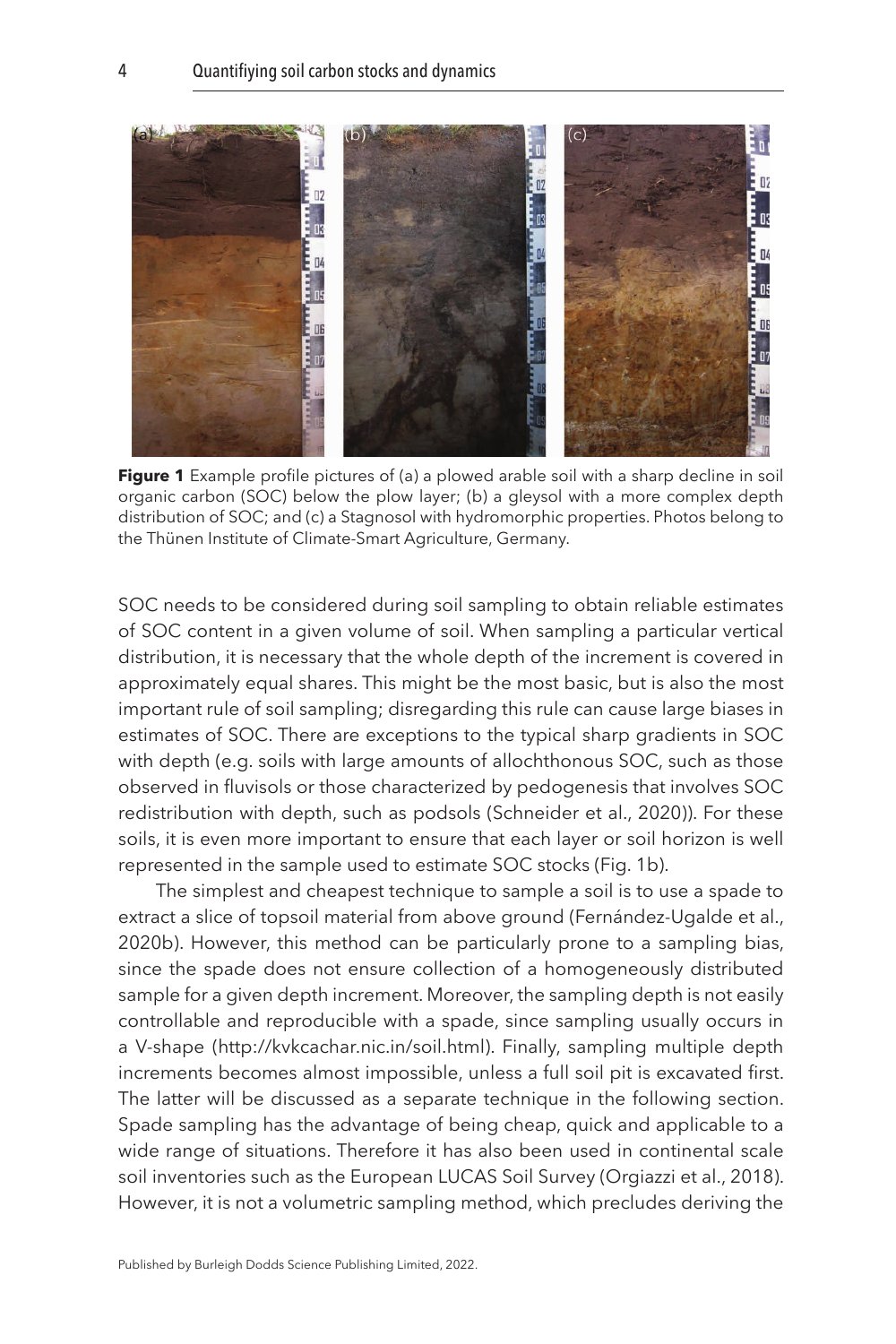<span id="page-4-0"></span>

**Figure 1** Example profile pictures of (a) a plowed arable soil with a sharp decline in soil organic carbon (SOC) below the plow layer; (b) a gleysol with a more complex depth distribution of SOC; and (c) a Stagnosol with hydromorphic properties. Photos belong to the Thünen Institute of Climate-Smart Agriculture, Germany.

SOC needs to be considered during soil sampling to obtain reliable estimates of SOC content in a given volume of soil. When sampling a particular vertical distribution, it is necessary that the whole depth of the increment is covered in approximately equal shares. This might be the most basic, but is also the most important rule of soil sampling; disregarding this rule can cause large biases in estimates of SOC. There are exceptions to the typical sharp gradients in SOC with depth (e.g. soils with large amounts of allochthonous SOC, such as those observed in fluvisols or those characterized by pedogenesis that involves SOC redistribution with depth, such as podsols ([Schneider et al., 2020\)](#page-26-5)). For these soils, it is even more important to ensure that each layer or soil horizon is well represented in the sample used to estimate SOC stocks (Fig. 1b).

The simplest and cheapest technique to sample a soil is to use a spade to extract a slice of topsoil material from above ground ([Fernández-Ugalde et al.,](#page-23-4)  [2020b](#page-23-4)). However, this method can be particularly prone to a sampling bias, since the spade does not ensure collection of a homogeneously distributed sample for a given depth increment. Moreover, the sampling depth is not easily controllable and reproducible with a spade, since sampling usually occurs in a V-shape (http://kvkcachar.nic.in/soil.html). Finally, sampling multiple depth increments becomes almost impossible, unless a full soil pit is excavated first. The latter will be discussed as a separate technique in the following section. Spade sampling has the advantage of being cheap, quick and applicable to a wide range of situations. Therefore it has also been used in continental scale soil inventories such as the European LUCAS Soil Survey [\(Orgiazzi et al., 2018](#page-24-0)). However, it is not a volumetric sampling method, which precludes deriving the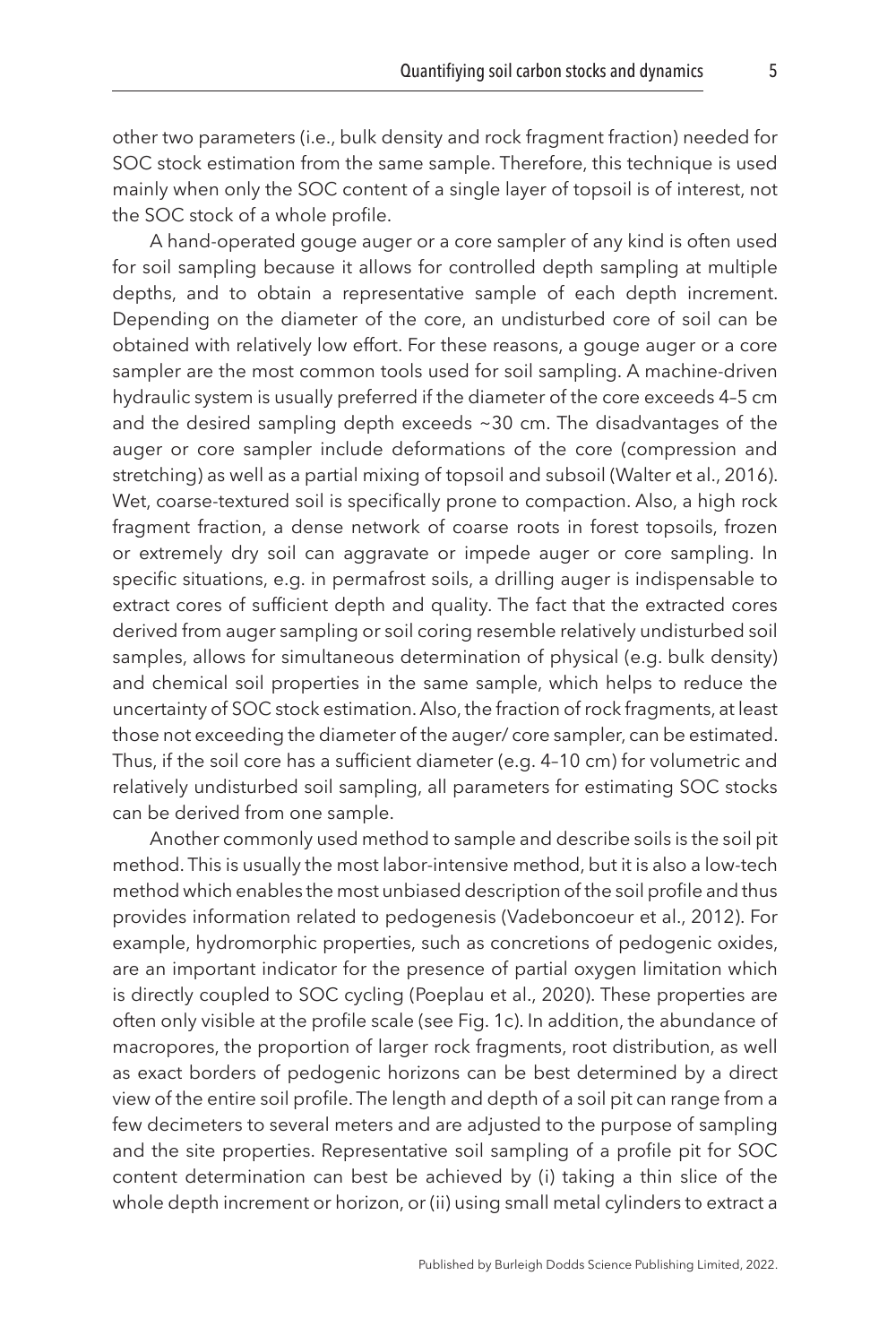other two parameters (i.e., bulk density and rock fragment fraction) needed for SOC stock estimation from the same sample. Therefore, this technique is used mainly when only the SOC content of a single layer of topsoil is of interest, not the SOC stock of a whole profile.

A hand-operated gouge auger or a core sampler of any kind is often used for soil sampling because it allows for controlled depth sampling at multiple depths, and to obtain a representative sample of each depth increment. Depending on the diameter of the core, an undisturbed core of soil can be obtained with relatively low effort. For these reasons, a gouge auger or a core sampler are the most common tools used for soil sampling. A machine-driven hydraulic system is usually preferred if the diameter of the core exceeds 4–5 cm and the desired sampling depth exceeds ~30 cm. The disadvantages of the auger or core sampler include deformations of the core (compression and stretching) as well as a partial mixing of topsoil and subsoil [\(Walter et al., 2016](#page-27-5)). Wet, coarse-textured soil is specifically prone to compaction. Also, a high rock fragment fraction, a dense network of coarse roots in forest topsoils, frozen or extremely dry soil can aggravate or impede auger or core sampling. In specific situations, e.g. in permafrost soils, a drilling auger is indispensable to extract cores of sufficient depth and quality. The fact that the extracted cores derived from auger sampling or soil coring resemble relatively undisturbed soil samples, allows for simultaneous determination of physical (e.g. bulk density) and chemical soil properties in the same sample, which helps to reduce the uncertainty of SOC stock estimation. Also, the fraction of rock fragments, at least those not exceeding the diameter of the auger/ core sampler, can be estimated. Thus, if the soil core has a sufficient diameter (e.g. 4–10 cm) for volumetric and relatively undisturbed soil sampling, all parameters for estimating SOC stocks can be derived from one sample.

Another commonly used method to sample and describe soils is the soil pit method. This is usually the most labor-intensive method, but it is also a low-tech method which enables the most unbiased description of the soil profile and thus provides information related to pedogenesis ([Vadeboncoeur et al., 2012](#page-27-6)). For example, hydromorphic properties, such as concretions of pedogenic oxides, are an important indicator for the presence of partial oxygen limitation which is directly coupled to SOC cycling ([Poeplau et al., 2020](#page-25-1)). These properties are often only visible at the profile scale (see [Fig. 1c\)](#page-4-0). In addition, the abundance of macropores, the proportion of larger rock fragments, root distribution, as well as exact borders of pedogenic horizons can be best determined by a direct view of the entire soil profile. The length and depth of a soil pit can range from a few decimeters to several meters and are adjusted to the purpose of sampling and the site properties. Representative soil sampling of a profile pit for SOC content determination can best be achieved by (i) taking a thin slice of the whole depth increment or horizon, or (ii) using small metal cylinders to extract a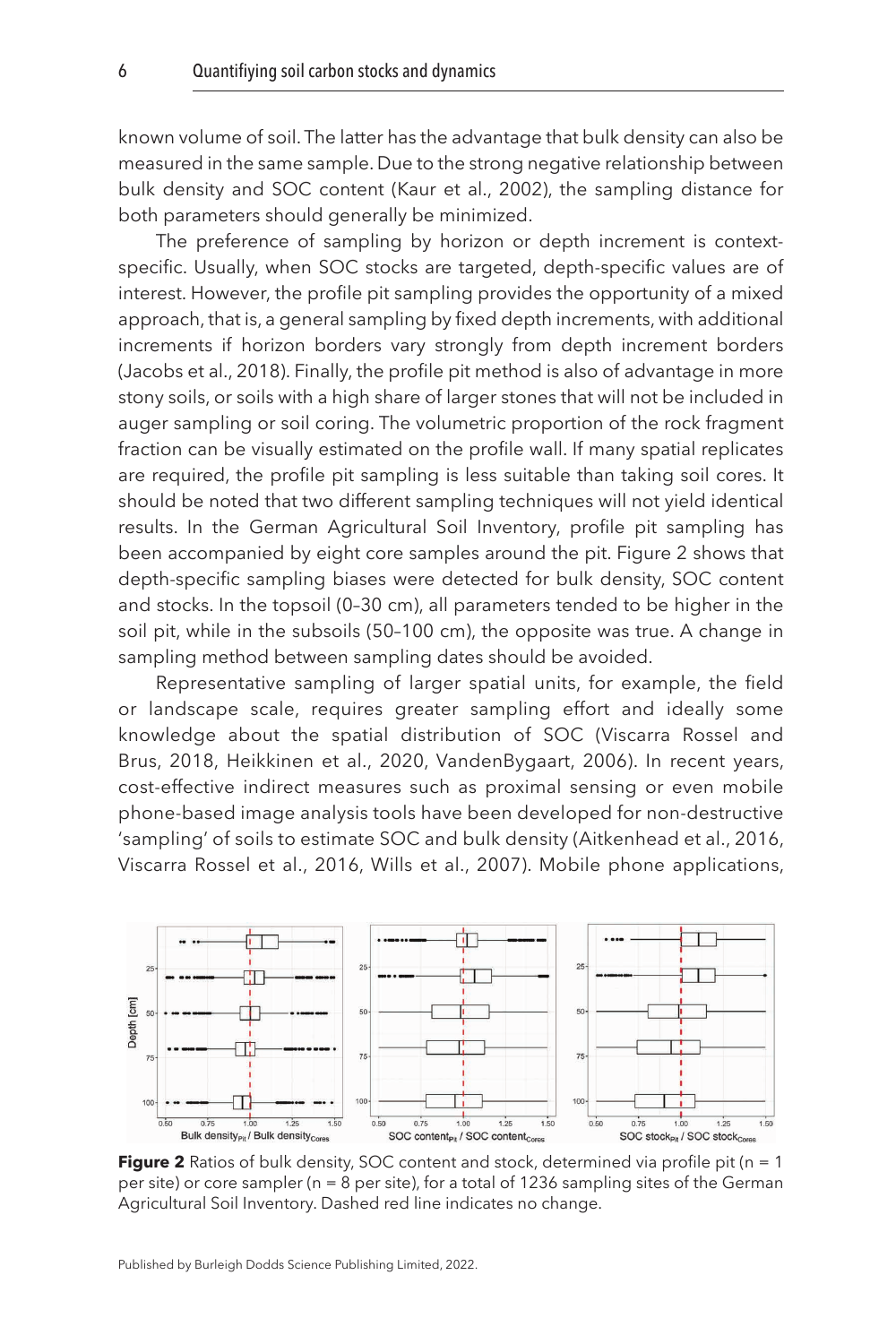known volume of soil. The latter has the advantage that bulk density can also be measured in the same sample. Due to the strong negative relationship between bulk density and SOC content [\(Kaur et al., 2002\)](#page-24-2), the sampling distance for both parameters should generally be minimized.

The preference of sampling by horizon or depth increment is contextspecific. Usually, when SOC stocks are targeted, depth-specific values are of interest. However, the profile pit sampling provides the opportunity of a mixed approach, that is, a general sampling by fixed depth increments, with additional increments if horizon borders vary strongly from depth increment borders [\(Jacobs et al., 2018\)](#page-23-5). Finally, the profile pit method is also of advantage in more stony soils, or soils with a high share of larger stones that will not be included in auger sampling or soil coring. The volumetric proportion of the rock fragment fraction can be visually estimated on the profile wall. If many spatial replicates are required, the profile pit sampling is less suitable than taking soil cores. It should be noted that two different sampling techniques will not yield identical results. In the German Agricultural Soil Inventory, profile pit sampling has been accompanied by eight core samples around the pit. Figure 2 shows that depth-specific sampling biases were detected for bulk density, SOC content and stocks. In the topsoil (0–30 cm), all parameters tended to be higher in the soil pit, while in the subsoils (50–100 cm), the opposite was true. A change in sampling method between sampling dates should be avoided.

Representative sampling of larger spatial units, for example, the field or landscape scale, requires greater sampling effort and ideally some knowledge about the spatial distribution of SOC (Viscarra Rossel and Brus, [2018,](#page-27-0) [Heikkinen et al., 2020](#page-23-1), [VandenBygaart, 2006\)](#page-27-3). In recent years, cost-effective indirect measures such as proximal sensing or even mobile phone-based image analysis tools have been developed for non-destructive 'sampling' of soils to estimate SOC and bulk density [\(Aitkenhead et al., 2016,](#page-21-3) [Viscarra Rossel et al., 2016,](#page-27-4) [Wills et al., 2007\)](#page-28-0). Mobile phone applications,



**Figure 2** Ratios of bulk density, SOC content and stock, determined via profile pit (n = 1) per site) or core sampler (n = 8 per site), for a total of 1236 sampling sites of the German Agricultural Soil Inventory. Dashed red line indicates no change.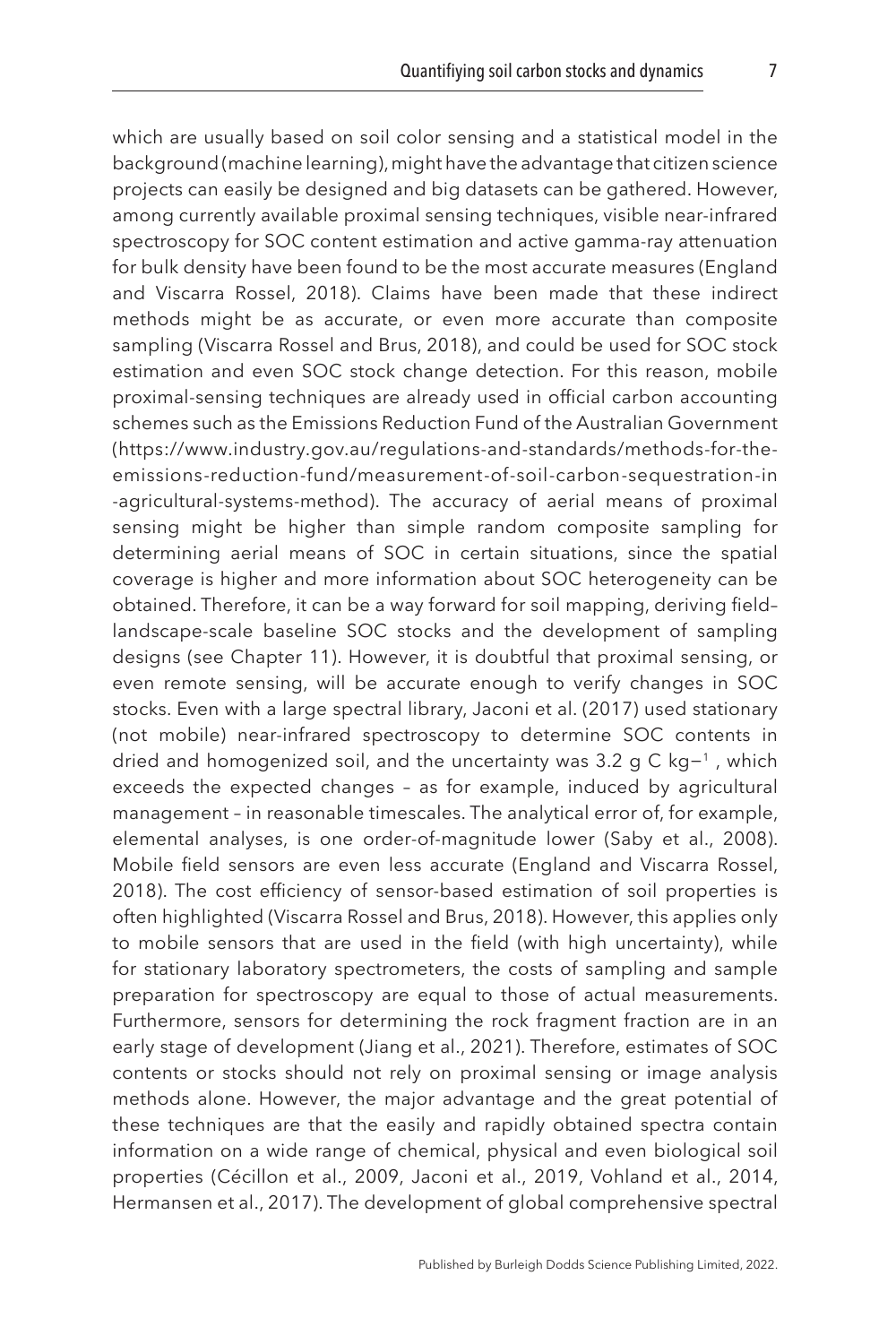which are usually based on soil color sensing and a statistical model in the background (machine learning), might have the advantage that citizen science projects can easily be designed and big datasets can be gathered. However, among currently available proximal sensing techniques, visible near-infrared spectroscopy for SOC content estimation and active gamma-ray attenuation for bulk density have been found to be the most accurate measures ([England](#page-22-2) [and Viscarra Rossel, 2018\)](#page-22-2). Claims have been made that these indirect methods might be as accurate, or even more accurate than composite sampling (Viscarra Rossel and Brus, [2018\)](#page-27-0), and could be used for SOC stock estimation and even SOC stock change detection. For this reason, mobile proximal-sensing techniques are already used in official carbon accounting schemes such as the Emissions Reduction Fund of the Australian Government (https://www.industry.gov.au/regulations-and-standards/methods-for-theemissions-reduction-fund/measurement-of-soil-carbon-sequestration-in -agricultural-systems-method). The accuracy of aerial means of proximal sensing might be higher than simple random composite sampling for determining aerial means of SOC in certain situations, since the spatial coverage is higher and more information about SOC heterogeneity can be obtained. Therefore, it can be a way forward for soil mapping, deriving field– landscape-scale baseline SOC stocks and the development of sampling designs (see Chapter 11). However, it is doubtful that proximal sensing, or even remote sensing, will be accurate enough to verify changes in SOC stocks. Even with a large spectral library, [Jaconi et al. \(2017\)](#page-23-6) used stationary (not mobile) near-infrared spectroscopy to determine SOC contents in dried and homogenized soil, and the uncertainty was 3.2 g C kg−1 , which exceeds the expected changes – as for example, induced by agricultural management – in reasonable timescales. The analytical error of, for example, elemental analyses, is one order-of-magnitude lower ([Saby et al., 2008](#page-25-0)). Mobile field sensors are even less accurate [\(England and Viscarra Rossel,](#page-22-2) [2018](#page-22-2)). The cost efficiency of sensor-based estimation of soil properties is often highlighted (Viscarra Rossel and Brus, [2018](#page-27-0)). However, this applies only to mobile sensors that are used in the field (with high uncertainty), while for stationary laboratory spectrometers, the costs of sampling and sample preparation for spectroscopy are equal to those of actual measurements. Furthermore, sensors for determining the rock fragment fraction are in an early stage of development [\(Jiang et al., 2021\)](#page-24-3). Therefore, estimates of SOC contents or stocks should not rely on proximal sensing or image analysis methods alone. However, the major advantage and the great potential of these techniques are that the easily and rapidly obtained spectra contain information on a wide range of chemical, physical and even biological soil properties [\(Cécillon et al., 2009](#page-21-4), [Jaconi et al., 2019](#page-23-7), [Vohland et al., 2014,](#page-27-7) [Hermansen et al., 2017](#page-23-8)). The development of global comprehensive spectral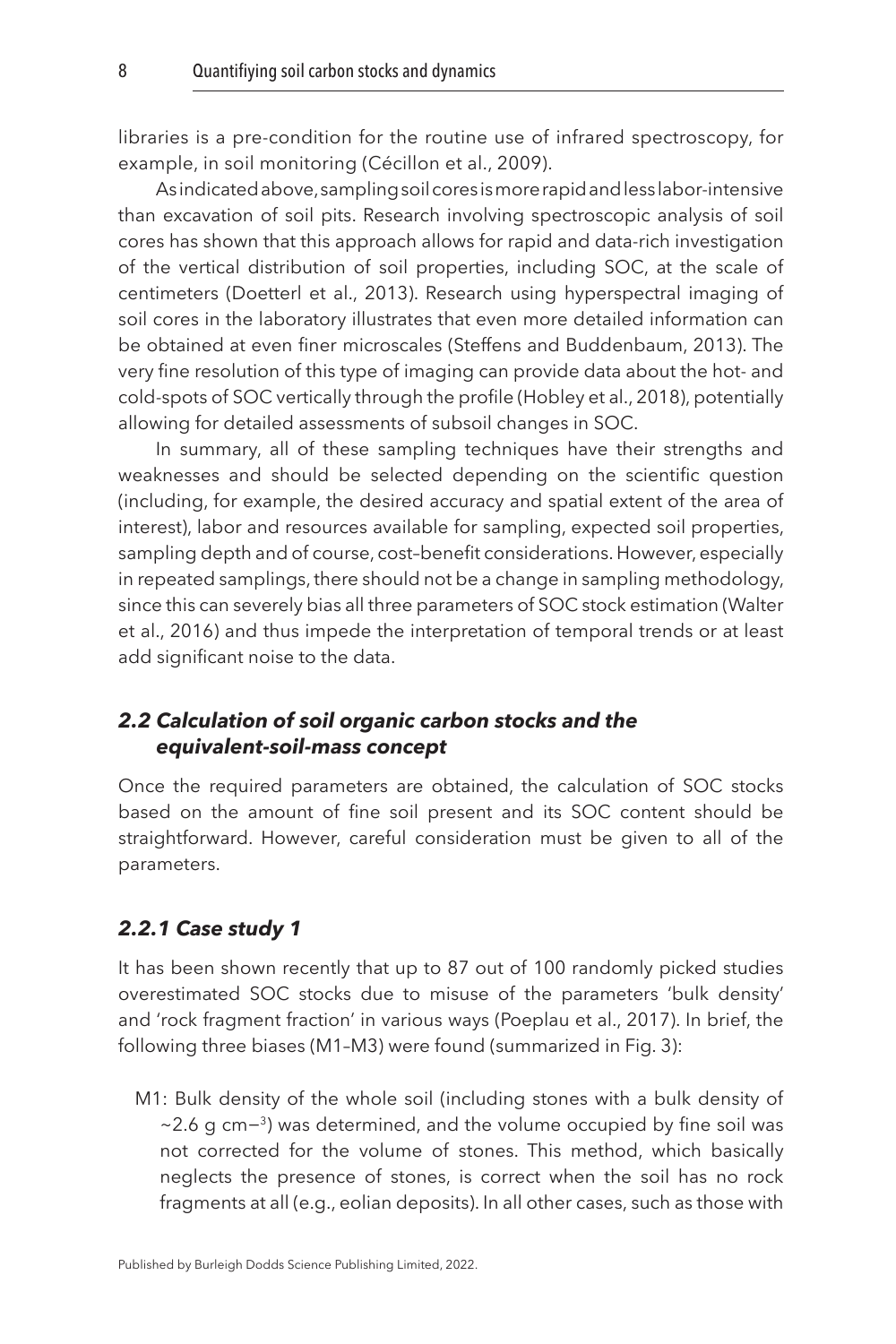libraries is a pre-condition for the routine use of infrared spectroscopy, for example, in soil monitoring ([Cécillon et al., 2009\)](#page-21-4).

As indicated above, sampling soil cores is more rapid and less labor-intensive than excavation of soil pits. Research involving spectroscopic analysis of soil cores has shown that this approach allows for rapid and data-rich investigation of the vertical distribution of soil properties, including SOC, at the scale of centimeters [\(Doetterl et al., 2013](#page-22-3)). Research using hyperspectral imaging of soil cores in the laboratory illustrates that even more detailed information can be obtained at even finer microscales [\(Steffens and Buddenbaum, 2013](#page-26-6)). The very fine resolution of this type of imaging can provide data about the hot- and cold-spots of SOC vertically through the profile ([Hobley et al., 2018\)](#page-23-9), potentially allowing for detailed assessments of subsoil changes in SOC.

In summary, all of these sampling techniques have their strengths and weaknesses and should be selected depending on the scientific question (including, for example, the desired accuracy and spatial extent of the area of interest), labor and resources available for sampling, expected soil properties, sampling depth and of course, cost–benefit considerations. However, especially in repeated samplings, there should not be a change in sampling methodology, since this can severely bias all three parameters of SOC stock estimation [\(Walter](#page-27-5)  [et al., 2016\)](#page-27-5) and thus impede the interpretation of temporal trends or at least add significant noise to the data.

#### *2.2 Calculation of soil organic carbon stocks and the equivalent-soil-mass concept*

Once the required parameters are obtained, the calculation of SOC stocks based on the amount of fine soil present and its SOC content should be straightforward. However, careful consideration must be given to all of the parameters.

#### *2.2.1 Case study 1*

It has been shown recently that up to 87 out of 100 randomly picked studies overestimated SOC stocks due to misuse of the parameters 'bulk density' and 'rock fragment fraction' in various ways ([Poeplau et al., 2017](#page-25-2)). In brief, the following three biases (M1–M3) were found (summarized in [Fig. 3\)](#page-9-0):

M1: Bulk density of the whole soil (including stones with a bulk density of ~2.6 g cm−<sup>3</sup>) was determined, and the volume occupied by fine soil was not corrected for the volume of stones. This method, which basically neglects the presence of stones, is correct when the soil has no rock fragments at all (e.g., eolian deposits). In all other cases, such as those with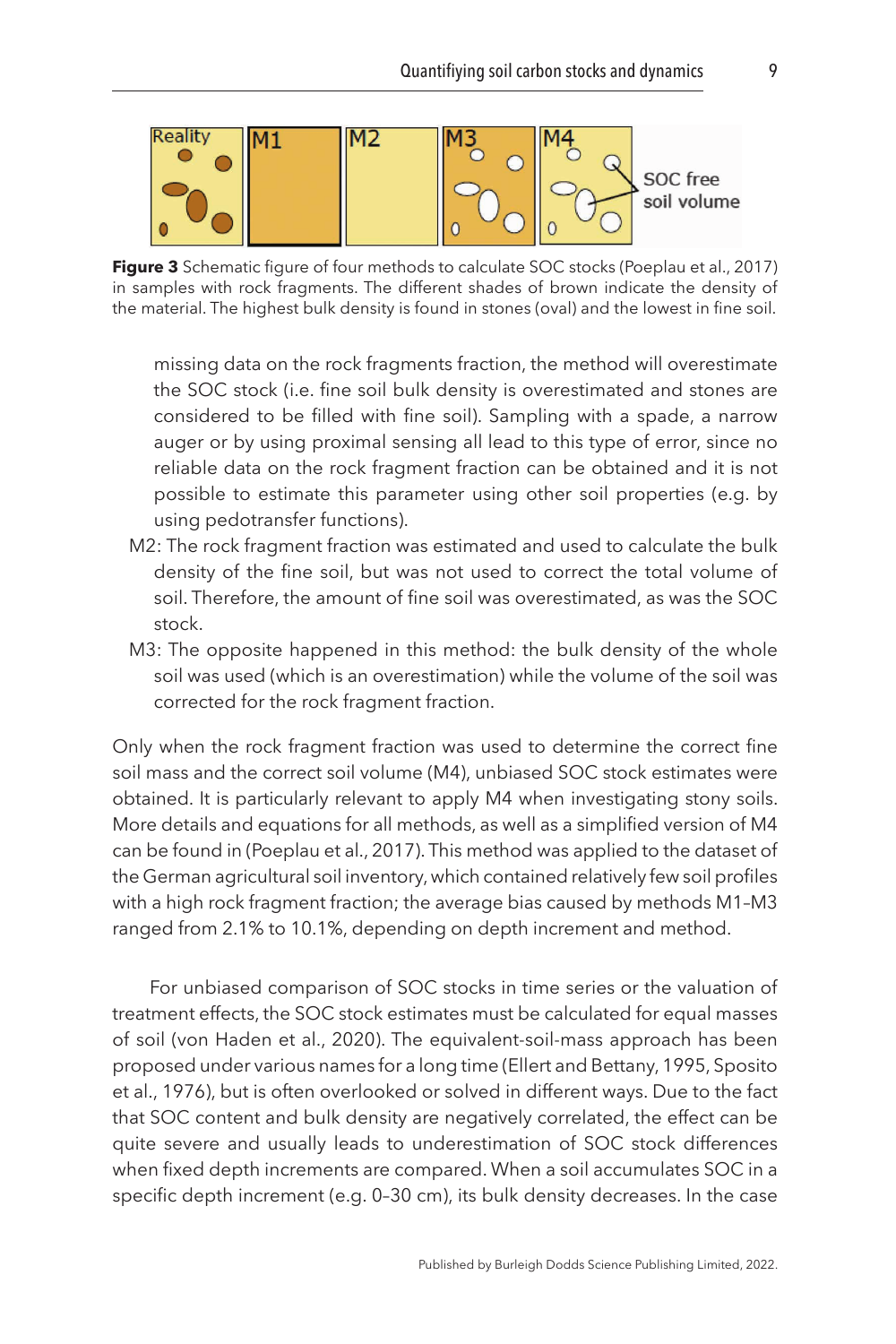<span id="page-9-0"></span>

**Figure 3** Schematic figure of four methods to calculate SOC stocks [\(Poeplau et al., 2017\)](#page-25-2) in samples with rock fragments. The different shades of brown indicate the density of the material. The highest bulk density is found in stones (oval) and the lowest in fine soil.

missing data on the rock fragments fraction, the method will overestimate the SOC stock (i.e. fine soil bulk density is overestimated and stones are considered to be filled with fine soil). Sampling with a spade, a narrow auger or by using proximal sensing all lead to this type of error, since no reliable data on the rock fragment fraction can be obtained and it is not possible to estimate this parameter using other soil properties (e.g. by using pedotransfer functions).

- M2: The rock fragment fraction was estimated and used to calculate the bulk density of the fine soil, but was not used to correct the total volume of soil. Therefore, the amount of fine soil was overestimated, as was the SOC stock.
- M3: The opposite happened in this method: the bulk density of the whole soil was used (which is an overestimation) while the volume of the soil was corrected for the rock fragment fraction.

Only when the rock fragment fraction was used to determine the correct fine soil mass and the correct soil volume (M4), unbiased SOC stock estimates were obtained. It is particularly relevant to apply M4 when investigating stony soils. More details and equations for all methods, as well as a simplified version of M4 can be found in [\(Poeplau et al., 2017\)](#page-25-2). This method was applied to the dataset of the German agricultural soil inventory, which contained relatively few soil profiles with a high rock fragment fraction; the average bias caused by methods M1–M3 ranged from 2.1% to 10.1%, depending on depth increment and method.

For unbiased comparison of SOC stocks in time series or the valuation of treatment effects, the SOC stock estimates must be calculated for equal masses of soil [\(von Haden et al., 2020](#page-27-8)). The equivalent-soil-mass approach has been proposed under various names for a long time [\(Ellert and Bettany, 1995](#page-22-4), [Sposito](#page-26-7)  [et al., 1976\)](#page-26-7), but is often overlooked or solved in different ways. Due to the fact that SOC content and bulk density are negatively correlated, the effect can be quite severe and usually leads to underestimation of SOC stock differences when fixed depth increments are compared. When a soil accumulates SOC in a specific depth increment (e.g. 0–30 cm), its bulk density decreases. In the case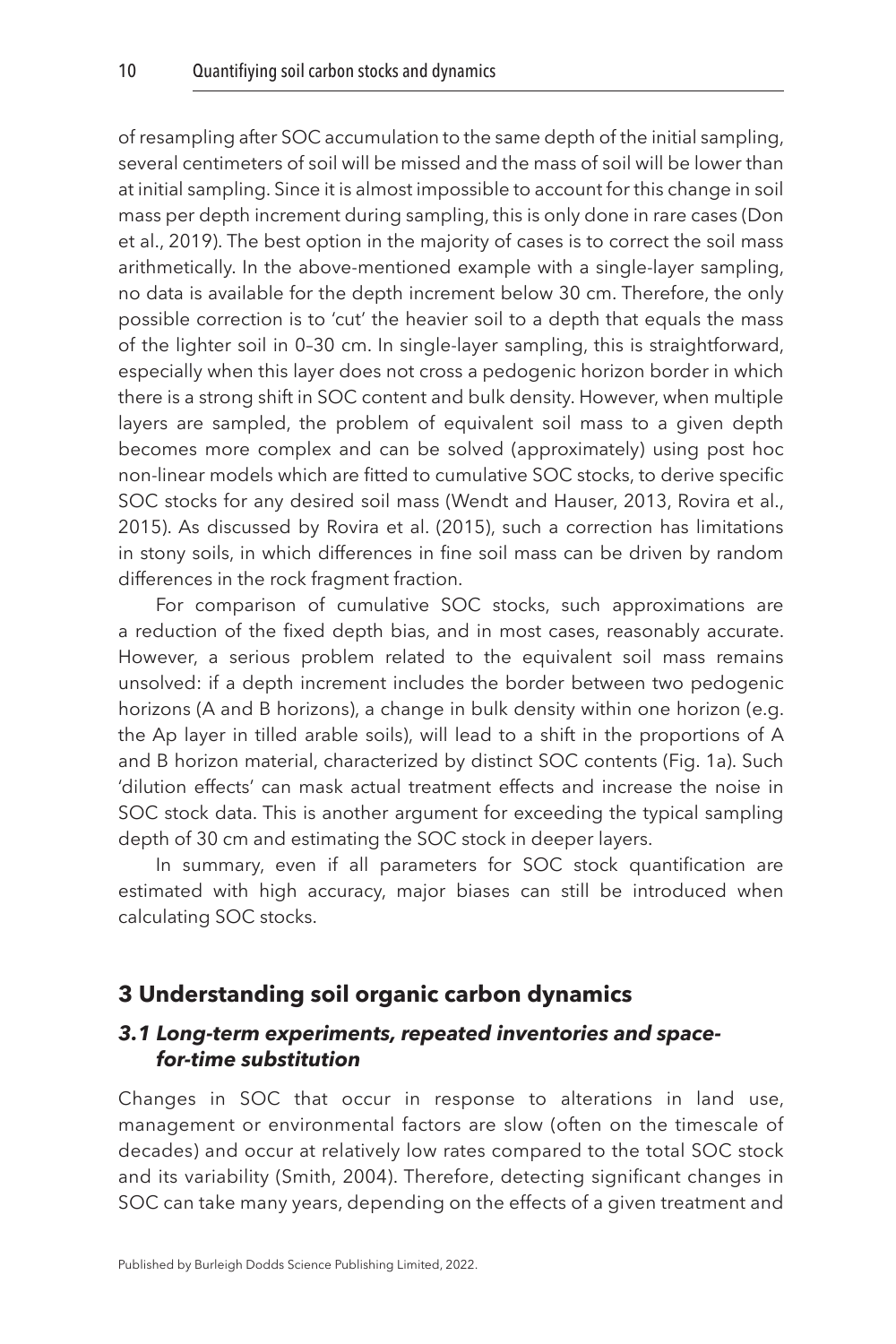of resampling after SOC accumulation to the same depth of the initial sampling, several centimeters of soil will be missed and the mass of soil will be lower than at initial sampling. Since it is almost impossible to account for this change in soil mass per depth increment during sampling, this is only done in rare cases [\(Don](#page-22-5)  [et al., 2019](#page-22-5)). The best option in the majority of cases is to correct the soil mass arithmetically. In the above-mentioned example with a single-layer sampling, no data is available for the depth increment below 30 cm. Therefore, the only possible correction is to 'cut' the heavier soil to a depth that equals the mass of the lighter soil in 0–30 cm. In single-layer sampling, this is straightforward, especially when this layer does not cross a pedogenic horizon border in which there is a strong shift in SOC content and bulk density. However, when multiple layers are sampled, the problem of equivalent soil mass to a given depth becomes more complex and can be solved (approximately) using post hoc non-linear models which are fitted to cumulative SOC stocks, to derive specific SOC stocks for any desired soil mass [\(Wendt and Hauser, 2013,](#page-27-9) [Rovira et al.,](#page-25-3)  [2015\)](#page-25-3). As discussed by [Rovira et al. \(2015\)](#page-25-3), such a correction has limitations in stony soils, in which differences in fine soil mass can be driven by random differences in the rock fragment fraction.

For comparison of cumulative SOC stocks, such approximations are a reduction of the fixed depth bias, and in most cases, reasonably accurate. However, a serious problem related to the equivalent soil mass remains unsolved: if a depth increment includes the border between two pedogenic horizons (A and B horizons), a change in bulk density within one horizon (e.g. the Ap layer in tilled arable soils), will lead to a shift in the proportions of A and B horizon material, characterized by distinct SOC contents ([Fig. 1a](#page-4-0)). Such 'dilution effects' can mask actual treatment effects and increase the noise in SOC stock data. This is another argument for exceeding the typical sampling depth of 30 cm and estimating the SOC stock in deeper layers.

In summary, even if all parameters for SOC stock quantification are estimated with high accuracy, major biases can still be introduced when calculating SOC stocks.

#### <span id="page-10-0"></span>**[3 Understanding soil organic carbon dynamics](#page-1-3)**

#### *3.1 Long-term experiments, repeated inventories and spacefor-time substitution*

Changes in SOC that occur in response to alterations in land use, management or environmental factors are slow (often on the timescale of decades) and occur at relatively low rates compared to the total SOC stock and its variability [\(Smith, 2004](#page-26-1)). Therefore, detecting significant changes in SOC can take many years, depending on the effects of a given treatment and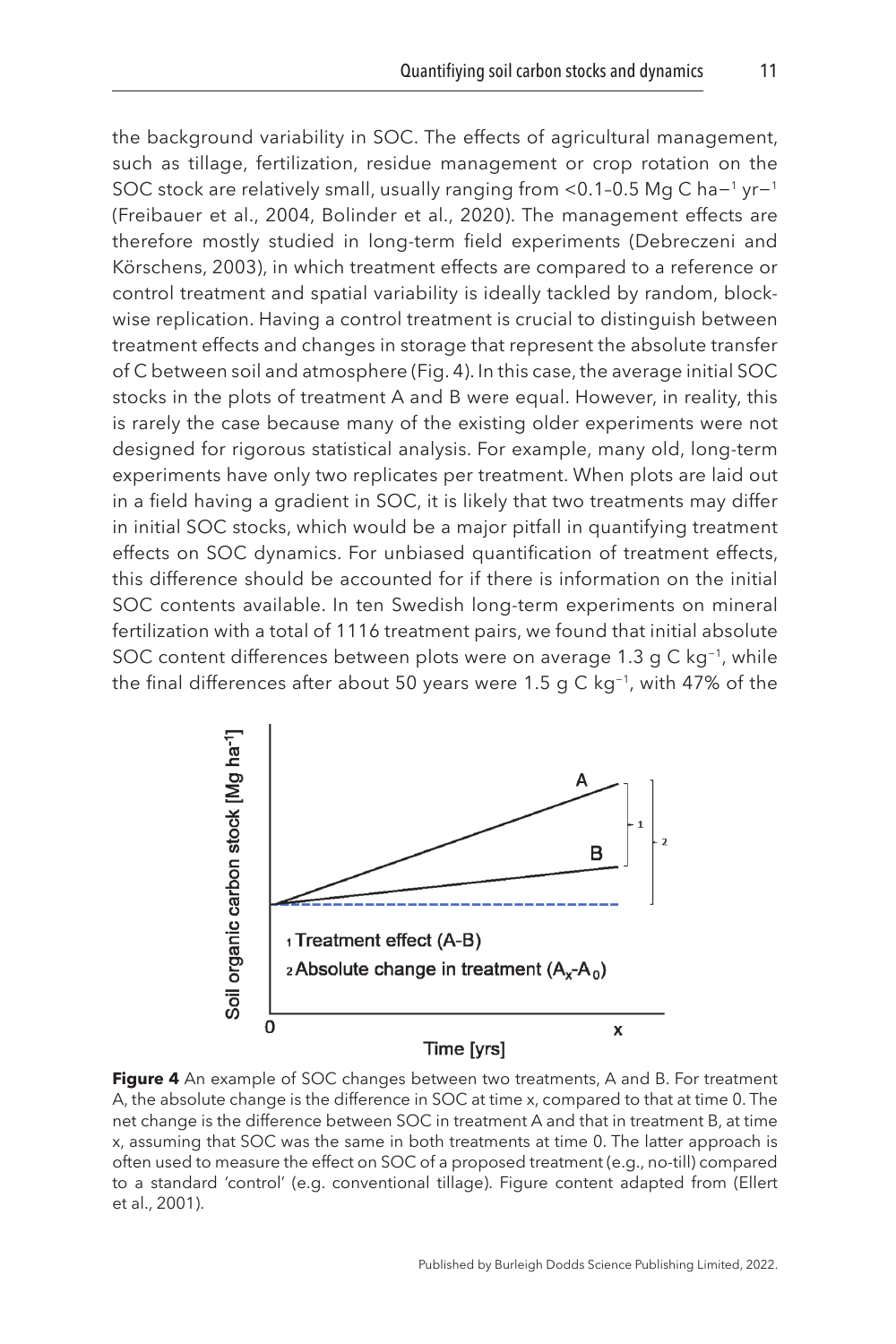the background variability in SOC. The effects of agricultural management, such as tillage, fertilization, residue management or crop rotation on the SOC stock are relatively small, usually ranging from <0.1-0.5 Mg C ha−<sup>1</sup> yr−<sup>1</sup> ([Freibauer et al., 2004](#page-23-10), [Bolinder et al., 2020\)](#page-21-5). The management effects are therefore mostly studied in long-term field experiments [\(Debreczeni and](#page-22-6) [Körschens, 2003\)](#page-22-6), in which treatment effects are compared to a reference or control treatment and spatial variability is ideally tackled by random, blockwise replication. Having a control treatment is crucial to distinguish between treatment effects and changes in storage that represent the absolute transfer of C between soil and atmosphere (Fig. 4). In this case, the average initial SOC stocks in the plots of treatment A and B were equal. However, in reality, this is rarely the case because many of the existing older experiments were not designed for rigorous statistical analysis. For example, many old, long-term experiments have only two replicates per treatment. When plots are laid out in a field having a gradient in SOC, it is likely that two treatments may differ in initial SOC stocks, which would be a major pitfall in quantifying treatment effects on SOC dynamics. For unbiased quantification of treatment effects, this difference should be accounted for if there is information on the initial SOC contents available. In ten Swedish long-term experiments on mineral fertilization with a total of 1116 treatment pairs, we found that initial absolute SOC content differences between plots were on average 1.3 g C kg−1, while the final differences after about 50 years were 1.5 g C kg−1, with 47% of the



**Figure 4** An example of SOC changes between two treatments, A and B. For treatment A, the absolute change is the difference in SOC at time x, compared to that at time 0. The net change is the difference between SOC in treatment A and that in treatment B, at time x, assuming that SOC was the same in both treatments at time 0. The latter approach is often used to measure the effect on SOC of a proposed treatment (e.g., no-till) compared to a standard 'control' (e.g. conventional tillage). Figure content adapted from [\(Ellert](#page-22-7)  [et al., 2001\)](#page-22-7).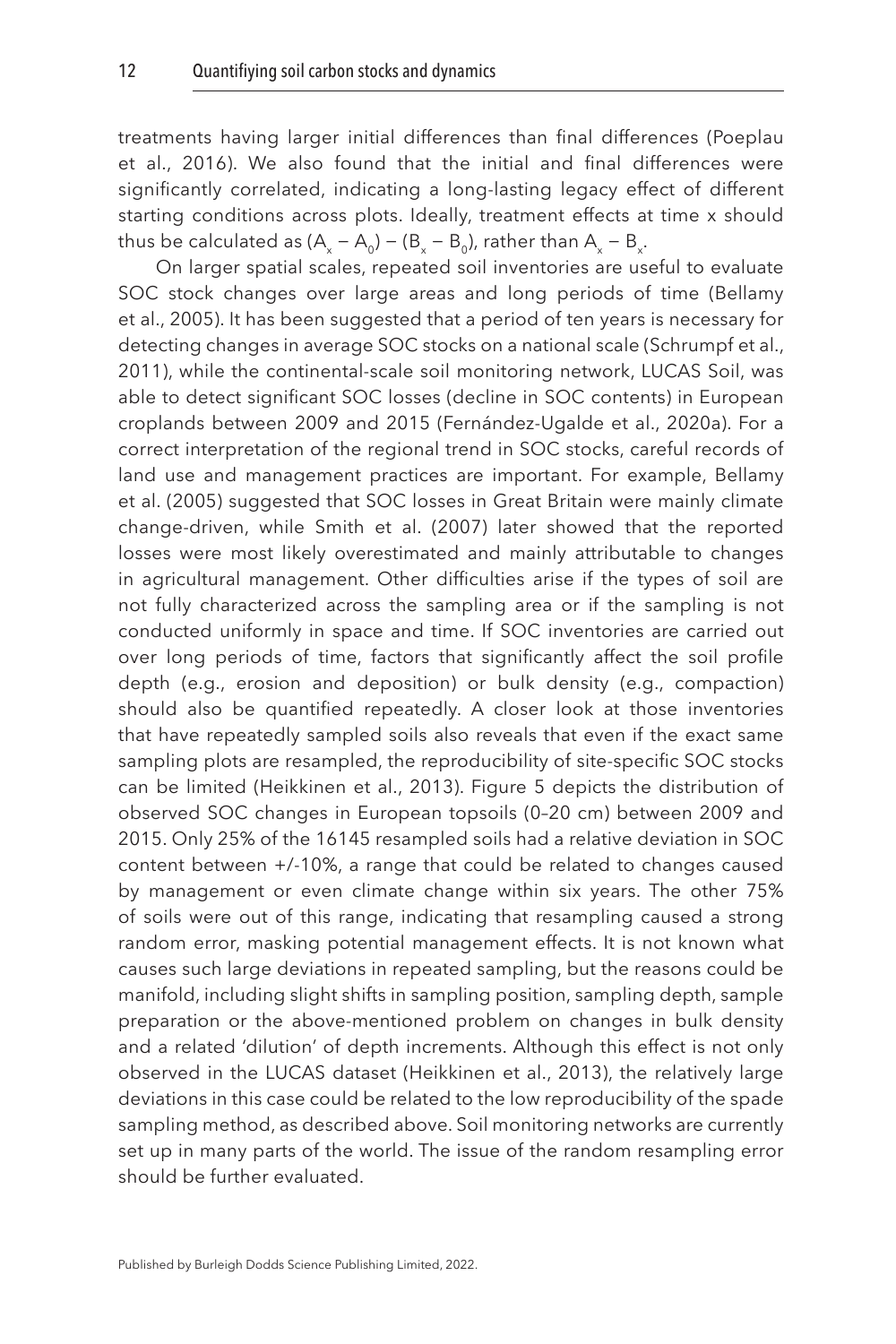treatments having larger initial differences than final differences ([Poeplau](#page-25-4)  [et al., 2016](#page-25-4)). We also found that the initial and final differences were significantly correlated, indicating a long-lasting legacy effect of different starting conditions across plots. Ideally, treatment effects at time x should thus be calculated as (A<sub>x</sub> – A<sub>0</sub>) – (B<sub>x</sub> – B<sub>0</sub>), rather than A<sub>x</sub> – B<sub>x</sub>.

On larger spatial scales, repeated soil inventories are useful to evaluate SOC stock changes over large areas and long periods of time ([Bellamy](#page-21-6)  [et al., 2005\)](#page-21-6). It has been suggested that a period of ten years is necessary for detecting changes in average SOC stocks on a national scale [\(Schrumpf et al.,](#page-26-2)  [2011](#page-26-2)), while the continental-scale soil monitoring network, LUCAS Soil, was able to detect significant SOC losses (decline in SOC contents) in European croplands between 2009 and 2015 [\(Fernández-Ugalde et al., 2020a\)](#page-23-11). For a correct interpretation of the regional trend in SOC stocks, careful records of land use and management practices are important. For example, [Bellamy](#page-21-6)  [et al. \(2005](#page-21-6)) suggested that SOC losses in Great Britain were mainly climate change-driven, while [Smith et al. \(2007\)](#page-26-8) later showed that the reported losses were most likely overestimated and mainly attributable to changes in agricultural management. Other difficulties arise if the types of soil are not fully characterized across the sampling area or if the sampling is not conducted uniformly in space and time. If SOC inventories are carried out over long periods of time, factors that significantly affect the soil profile depth (e.g., erosion and deposition) or bulk density (e.g., compaction) should also be quantified repeatedly. A closer look at those inventories that have repeatedly sampled soils also reveals that even if the exact same sampling plots are resampled, the reproducibility of site-specific SOC stocks can be limited ([Heikkinen et al., 2013](#page-23-12)). [Figure 5](#page-13-0) depicts the distribution of observed SOC changes in European topsoils (0–20 cm) between 2009 and 2015. Only 25% of the 16145 resampled soils had a relative deviation in SOC content between +/-10%, a range that could be related to changes caused by management or even climate change within six years. The other 75% of soils were out of this range, indicating that resampling caused a strong random error, masking potential management effects. It is not known what causes such large deviations in repeated sampling, but the reasons could be manifold, including slight shifts in sampling position, sampling depth, sample preparation or the above-mentioned problem on changes in bulk density and a related 'dilution' of depth increments. Although this effect is not only observed in the LUCAS dataset ([Heikkinen et al., 2013\)](#page-23-12), the relatively large deviations in this case could be related to the low reproducibility of the spade sampling method, as described above. Soil monitoring networks are currently set up in many parts of the world. The issue of the random resampling error should be further evaluated.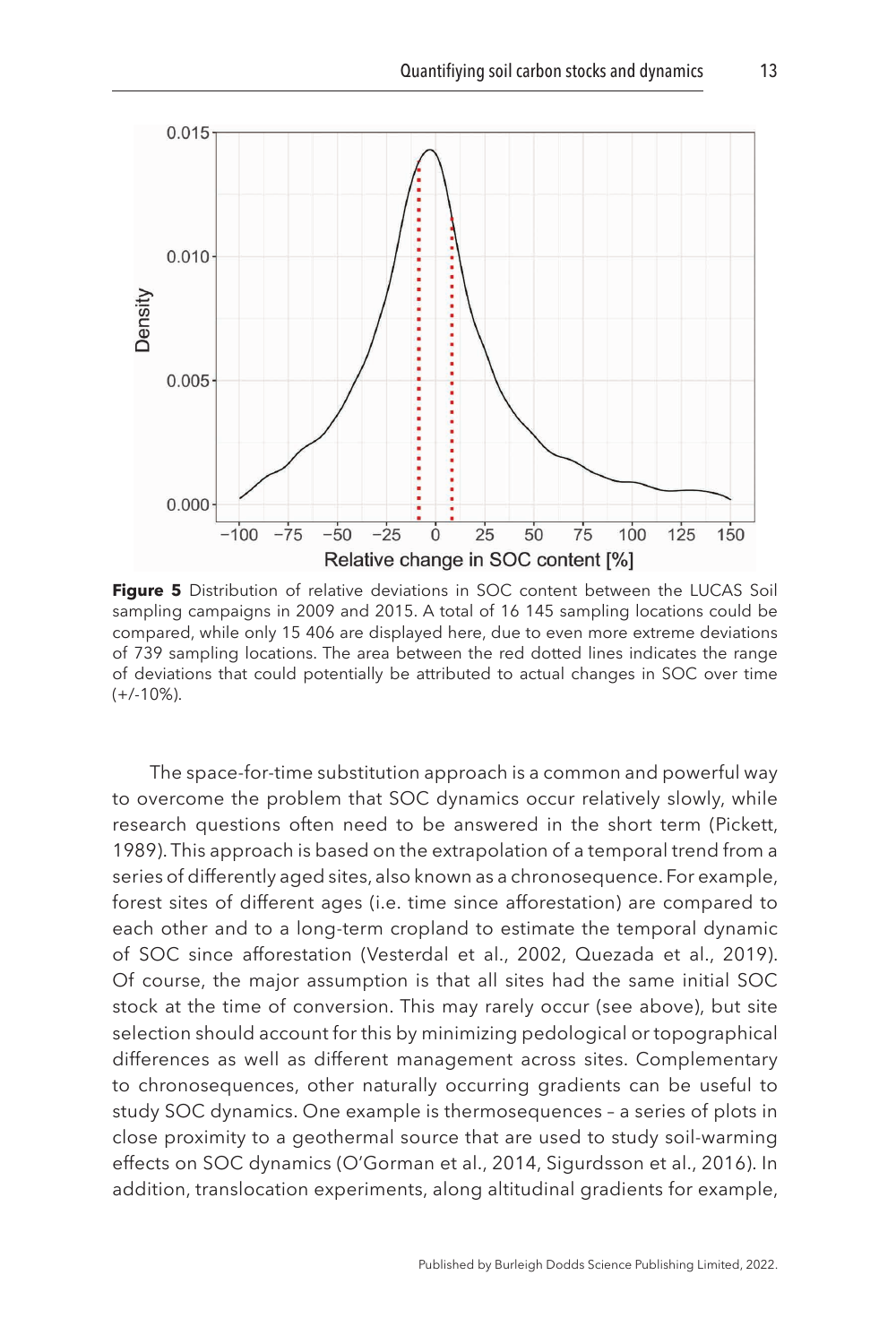<span id="page-13-0"></span>

**Figure 5** Distribution of relative deviations in SOC content between the LUCAS Soil sampling campaigns in 2009 and 2015. A total of 16 145 sampling locations could be compared, while only 15 406 are displayed here, due to even more extreme deviations of 739 sampling locations. The area between the red dotted lines indicates the range of deviations that could potentially be attributed to actual changes in SOC over time  $(+/-10\%)$ .

The space-for-time substitution approach is a common and powerful way to overcome the problem that SOC dynamics occur relatively slowly, while research questions often need to be answered in the short term ([Pickett,](#page-25-5) [1989](#page-25-5)). This approach is based on the extrapolation of a temporal trend from a series of differently aged sites, also known as a chronosequence. For example, forest sites of different ages (i.e. time since afforestation) are compared to each other and to a long-term cropland to estimate the temporal dynamic of SOC since afforestation [\(Vesterdal et al., 2002](#page-27-10), [Quezada et al., 2019](#page-25-6)). Of course, the major assumption is that all sites had the same initial SOC stock at the time of conversion. This may rarely occur (see above), but site selection should account for this by minimizing pedological or topographical differences as well as different management across sites. Complementary to chronosequences, other naturally occurring gradients can be useful to study SOC dynamics. One example is thermosequences – a series of plots in close proximity to a geothermal source that are used to study soil-warming effects on SOC dynamics ([O'Gorman et al., 2014](#page-24-4), [Sigurdsson et al., 2016\)](#page-26-9). In addition, translocation experiments, along altitudinal gradients for example,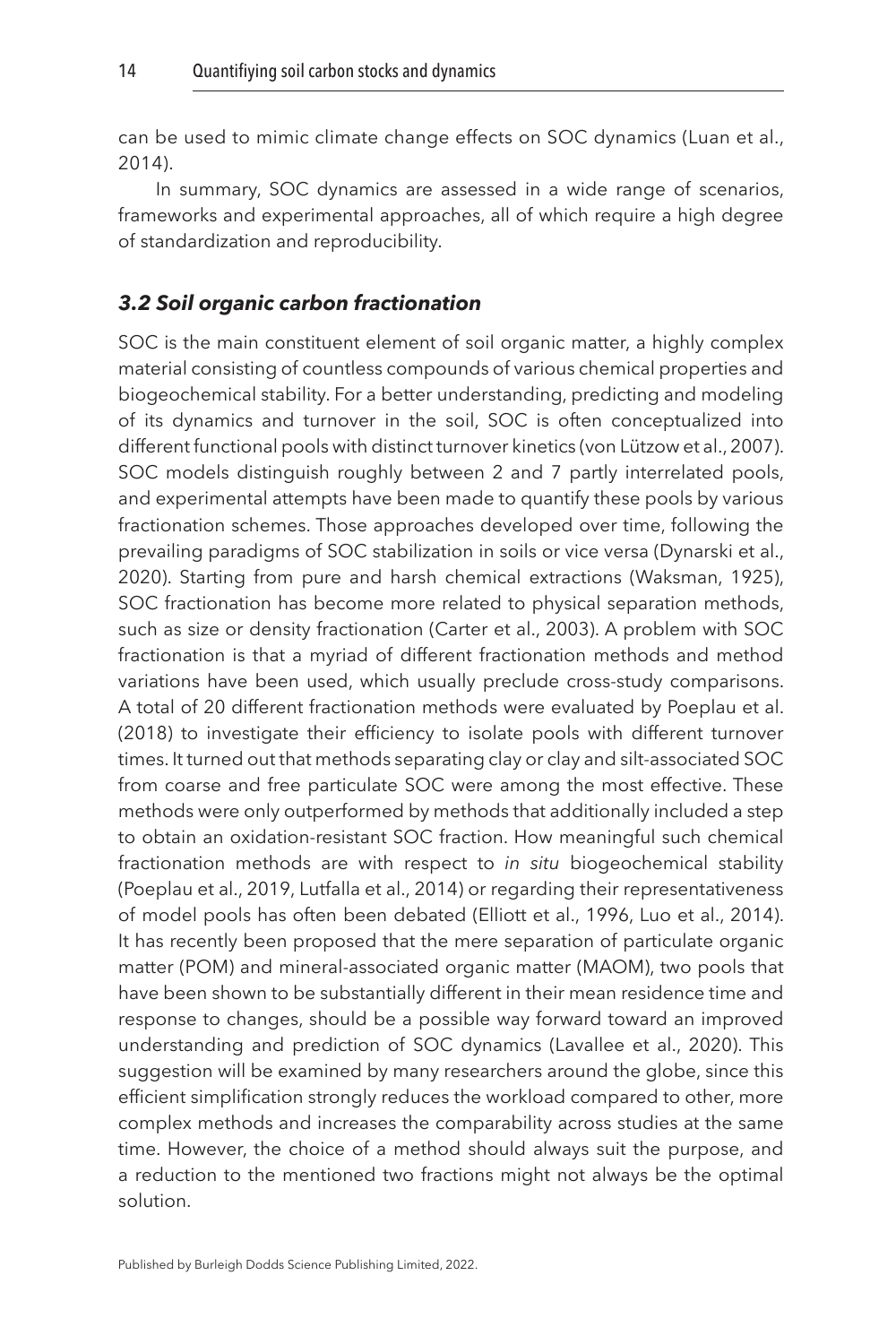can be used to mimic climate change effects on SOC dynamics ([Luan et al.,](#page-24-5)  [2014](#page-24-5)).

In summary, SOC dynamics are assessed in a wide range of scenarios, frameworks and experimental approaches, all of which require a high degree of standardization and reproducibility.

#### *3.2 Soil organic carbon fractionation*

SOC is the main constituent element of soil organic matter, a highly complex material consisting of countless compounds of various chemical properties and biogeochemical stability. For a better understanding, predicting and modeling of its dynamics and turnover in the soil, SOC is often conceptualized into different functional pools with distinct turnover kinetics [\(von Lützow et al., 2007](#page-27-11)). SOC models distinguish roughly between 2 and 7 partly interrelated pools, and experimental attempts have been made to quantify these pools by various fractionation schemes. Those approaches developed over time, following the prevailing paradigms of SOC stabilization in soils or vice versa [\(Dynarski et al.,](#page-22-8)  [2020\)](#page-22-8). Starting from pure and harsh chemical extractions ([Waksman, 1925](#page-27-12)), SOC fractionation has become more related to physical separation methods, such as size or density fractionation [\(Carter et al., 2003](#page-21-7)). A problem with SOC fractionation is that a myriad of different fractionation methods and method variations have been used, which usually preclude cross-study comparisons. A total of 20 different fractionation methods were evaluated by [Poeplau et al.](#page-25-7)  [\(2018\)](#page-25-7) to investigate their efficiency to isolate pools with different turnover times. It turned out that methods separating clay or clay and silt-associated SOC from coarse and free particulate SOC were among the most effective. These methods were only outperformed by methods that additionally included a step to obtain an oxidation-resistant SOC fraction. How meaningful such chemical fractionation methods are with respect to *in situ* biogeochemical stability ([Poeplau et al., 2019,](#page-25-8) [Lutfalla et al., 2014](#page-24-6)) or regarding their representativeness of model pools has often been debated [\(Elliott et al., 1996,](#page-22-9) [Luo et al., 2014](#page-24-7)). It has recently been proposed that the mere separation of particulate organic matter (POM) and mineral-associated organic matter (MAOM), two pools that have been shown to be substantially different in their mean residence time and response to changes, should be a possible way forward toward an improved understanding and prediction of SOC dynamics ([Lavallee et al., 2020](#page-24-8)). This suggestion will be examined by many researchers around the globe, since this efficient simplification strongly reduces the workload compared to other, more complex methods and increases the comparability across studies at the same time. However, the choice of a method should always suit the purpose, and a reduction to the mentioned two fractions might not always be the optimal solution.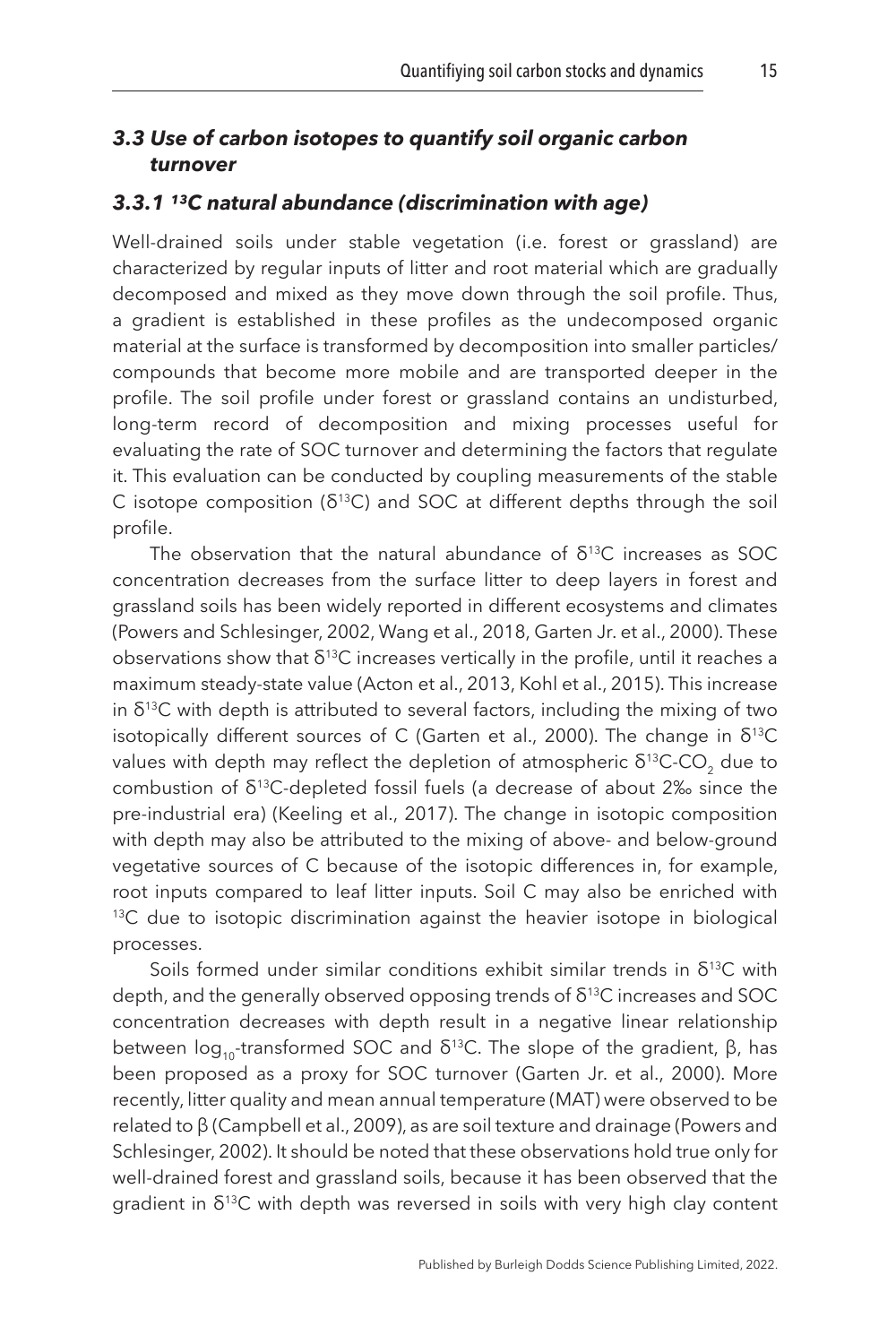#### *3.3 Use of carbon isotopes to quantify soil organic carbon turnover*

#### 3.3.1<sup>13</sup>C natural abundance (discrimination with age)

Well-drained soils under stable vegetation (i.e. forest or grassland) are characterized by regular inputs of litter and root material which are gradually decomposed and mixed as they move down through the soil profile. Thus, a gradient is established in these profiles as the undecomposed organic material at the surface is transformed by decomposition into smaller particles/ compounds that become more mobile and are transported deeper in the profile. The soil profile under forest or grassland contains an undisturbed, long-term record of decomposition and mixing processes useful for evaluating the rate of SOC turnover and determining the factors that regulate it. This evaluation can be conducted by coupling measurements of the stable C isotope composition ( $\delta^{13}$ C) and SOC at different depths through the soil profile.

The observation that the natural abundance of  $\delta^{13}$ C increases as SOC concentration decreases from the surface litter to deep layers in forest and grassland soils has been widely reported in different ecosystems and climates ([Powers and Schlesinger, 2002](#page-25-9), [Wang et al., 2018,](#page-27-13) Garten Jr. et al., [2000\)](#page-23-13). These observations show that  $\delta^{13}$ C increases vertically in the profile, until it reaches a maximum steady-state value ([Acton et al., 2013,](#page-21-8) [Kohl et al., 2015\)](#page-24-9). This increase in  $\delta^{13}$ C with depth is attributed to several factors, including the mixing of two isotopically different sources of C ([Garten et al., 2000\)](#page-23-13). The change in  $\delta^{13}C$ values with depth may reflect the depletion of atmospheric  $δ<sup>13</sup>C-CO<sub>2</sub>$  due to combustion of  $δ<sup>13</sup>C$ -depleted fossil fuels (a decrease of about 2‰ since the pre-industrial era) ([Keeling et al., 2017](#page-24-10)). The change in isotopic composition with depth may also be attributed to the mixing of above- and below-ground vegetative sources of C because of the isotopic differences in, for example, root inputs compared to leaf litter inputs. Soil C may also be enriched with  $13C$  due to isotopic discrimination against the heavier isotope in biological processes.

Soils formed under similar conditions exhibit similar trends in  $\delta^{13}C$  with depth, and the generally observed opposing trends of δ<sup>13</sup>C increases and SOC concentration decreases with depth result in a negative linear relationship between  $log_{10}$ -transformed SOC and δ<sup>13</sup>C. The slope of the gradient, β, has been proposed as a proxy for SOC turnover (Garten Jr. et al., [2000\)](#page-23-13). More recently, litter quality and mean annual temperature (MAT) were observed to be related to β ([Campbell et al., 2009\)](#page-21-9), as are soil texture and drainage [\(Powers and](#page-25-9)  [Schlesinger, 2002](#page-25-9)). It should be noted that these observations hold true only for well-drained forest and grassland soils, because it has been observed that the gradient in  $\delta^{13}$ C with depth was reversed in soils with very high clay content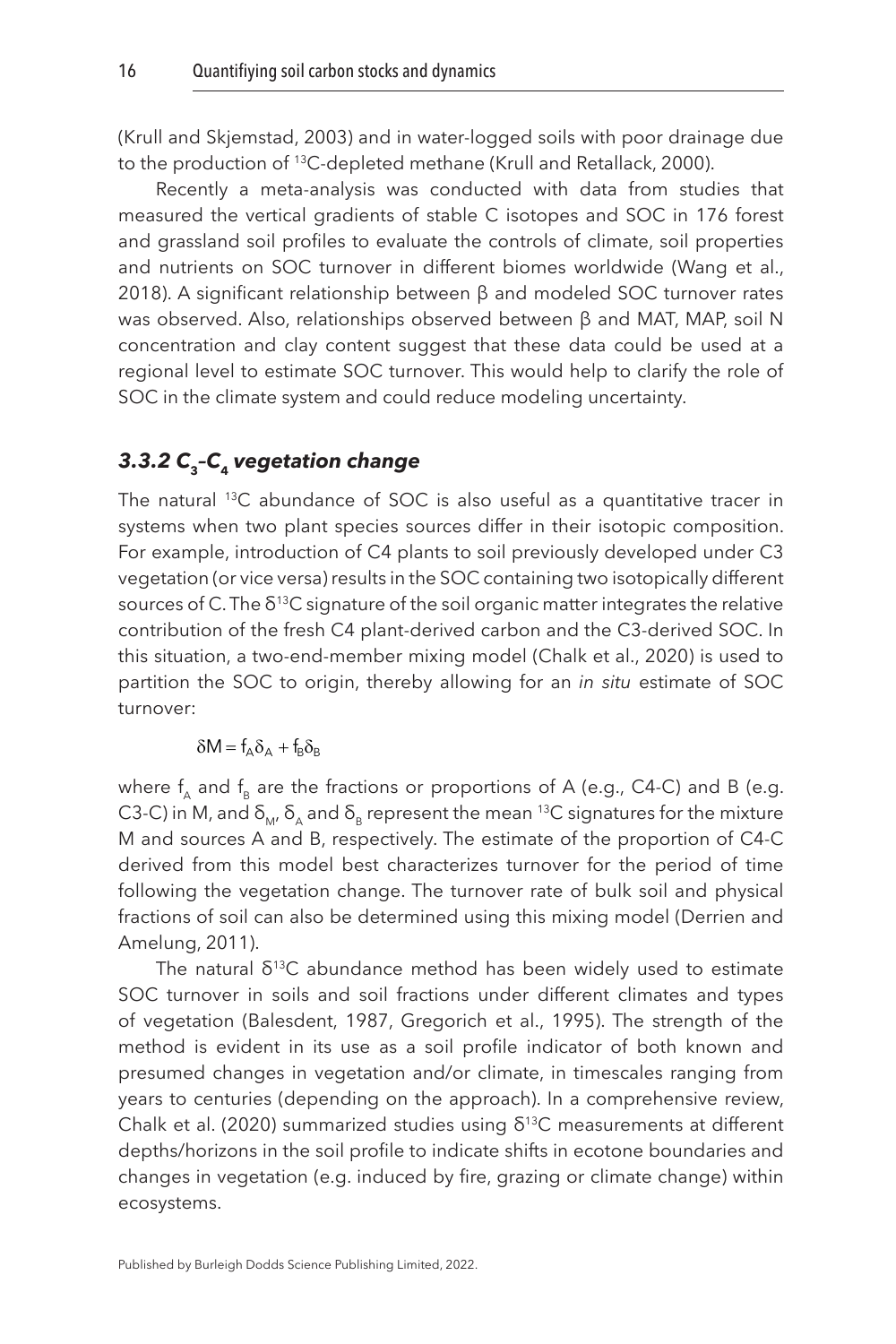([Krull and Skjemstad, 2003](#page-24-11)) and in water-logged soils with poor drainage due to the production of 13C-depleted methane (Krull and Retallack, [2000\)](#page-24-12).

Recently a meta-analysis was conducted with data from studies that measured the vertical gradients of stable C isotopes and SOC in 176 forest and grassland soil profiles to evaluate the controls of climate, soil properties and nutrients on SOC turnover in different biomes worldwide ([Wang et al.,](#page-27-13)  [2018\)](#page-27-13). A significant relationship between β and modeled SOC turnover rates was observed. Also, relationships observed between β and MAT, MAP, soil N concentration and clay content suggest that these data could be used at a regional level to estimate SOC turnover. This would help to clarify the role of SOC in the climate system and could reduce modeling uncertainty.

## *3.3.2 C***3***–C***4** *vegetation change*

The natural <sup>13</sup>C abundance of SOC is also useful as a quantitative tracer in systems when two plant species sources differ in their isotopic composition. For example, introduction of C4 plants to soil previously developed under C3 vegetation (or vice versa) results in the SOC containing two isotopically different sources of C. The  $\delta^{13}$ C signature of the soil organic matter integrates the relative contribution of the fresh C4 plant-derived carbon and the C3-derived SOC. In this situation, a two-end-member mixing model ([Chalk et al., 2020](#page-22-10)) is used to partition the SOC to origin, thereby allowing for an *in situ* estimate of SOC turnover:

 $\delta M = f_{\alpha} \delta_{\alpha} + f_{\beta} \delta_{\beta}$ 

where  $f_{A}$  and  $f_{B}$  are the fractions or proportions of A (e.g., C4-C) and B (e.g. C3-C) in M, and  $\delta_M$ ,  $\delta_A$  and  $\delta_B$  represent the mean <sup>13</sup>C signatures for the mixture M and sources A and B, respectively. The estimate of the proportion of C4-C derived from this model best characterizes turnover for the period of time following the vegetation change. The turnover rate of bulk soil and physical fractions of soil can also be determined using this mixing model [\(Derrien and](#page-22-11)  [Amelung, 2011\)](#page-22-11).

The natural  $\delta^{13}$ C abundance method has been widely used to estimate SOC turnover in soils and soil fractions under different climates and types of vegetation [\(Balesdent, 1987,](#page-21-10) [Gregorich et al., 1995](#page-23-14)). The strength of the method is evident in its use as a soil profile indicator of both known and presumed changes in vegetation and/or climate, in timescales ranging from years to centuries (depending on the approach). In a comprehensive review, [Chalk et al. \(2020\)](#page-22-10) summarized studies using  $\delta^{13}$ C measurements at different depths/horizons in the soil profile to indicate shifts in ecotone boundaries and changes in vegetation (e.g. induced by fire, grazing or climate change) within ecosystems.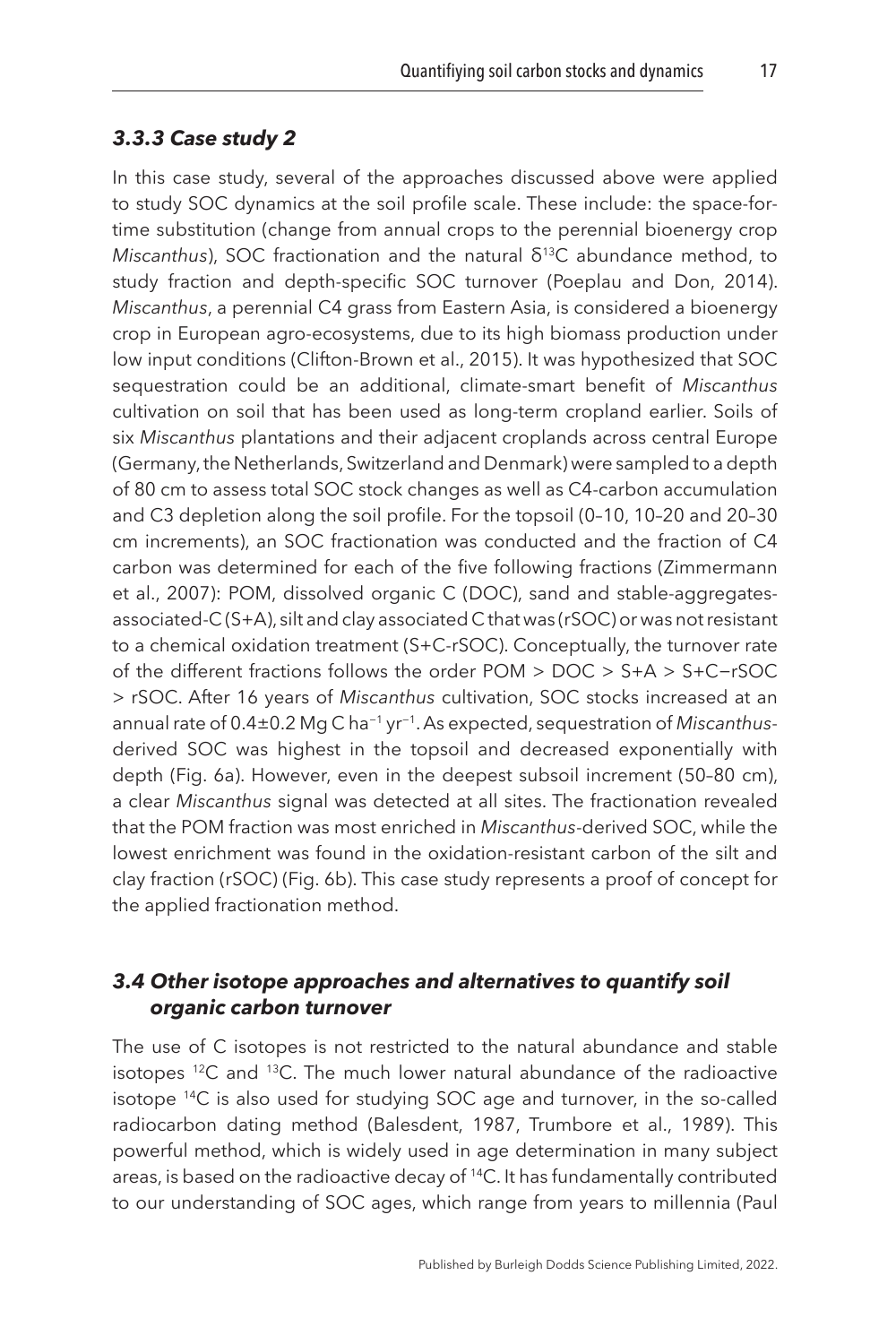#### *3.3.3 Case study 2*

In this case study, several of the approaches discussed above were applied to study SOC dynamics at the soil profile scale. These include: the space-fortime substitution (change from annual crops to the perennial bioenergy crop *Miscanthus*), SOC fractionation and the natural δ<sup>13</sup>C abundance method, to study fraction and depth-specific SOC turnover ([Poeplau and Don, 2014](#page-25-10)). *Miscanthus*, a perennial C4 grass from Eastern Asia, is considered a bioenergy crop in European agro-ecosystems, due to its high biomass production under low input conditions ([Clifton-Brown et al., 2015](#page-22-12)). It was hypothesized that SOC sequestration could be an additional, climate-smart benefit of *Miscanthus* cultivation on soil that has been used as long-term cropland earlier. Soils of six *Miscanthus* plantations and their adjacent croplands across central Europe (Germany, the Netherlands, Switzerland and Denmark) were sampled to a depth of 80 cm to assess total SOC stock changes as well as C4-carbon accumulation and C3 depletion along the soil profile. For the topsoil (0–10, 10–20 and 20–30 cm increments), an SOC fractionation was conducted and the fraction of C4 carbon was determined for each of the five following fractions [\(Zimmermann](#page-28-1) [et al., 2007](#page-28-1)): POM, dissolved organic C (DOC), sand and stable-aggregatesassociated-C (S+A), silt and clay associated C that was (rSOC) or was not resistant to a chemical oxidation treatment (S+C-rSOC). Conceptually, the turnover rate of the different fractions follows the order POM > DOC > S+A > S+C−rSOC > rSOC. After 16 years of *Miscanthus* cultivation, SOC stocks increased at an annual rate of 0.4±0.2 Mg C ha−1 yr−1. As expected, sequestration of *Miscanthus*derived SOC was highest in the topsoil and decreased exponentially with depth ([Fig. 6a\)](#page-18-0). However, even in the deepest subsoil increment (50–80 cm), a clear *Miscanthus* signal was detected at all sites. The fractionation revealed that the POM fraction was most enriched in *Miscanthus*-derived SOC, while the lowest enrichment was found in the oxidation-resistant carbon of the silt and clay fraction (rSOC) ([Fig. 6b\)](#page-18-0). This case study represents a proof of concept for the applied fractionation method.

#### *3.4 Other isotope approaches and alternatives to quantify soil organic carbon turnover*

The use of C isotopes is not restricted to the natural abundance and stable isotopes  $12C$  and  $13C$ . The much lower natural abundance of the radioactive isotope 14C is also used for studying SOC age and turnover, in the so-called radiocarbon dating method ([Balesdent, 1987,](#page-21-10) [Trumbore et al., 1989](#page-27-14)). This powerful method, which is widely used in age determination in many subject areas, is based on the radioactive decay of <sup>14</sup>C. It has fundamentally contributed to our understanding of SOC ages, which range from years to millennia [\(Paul](#page-25-11)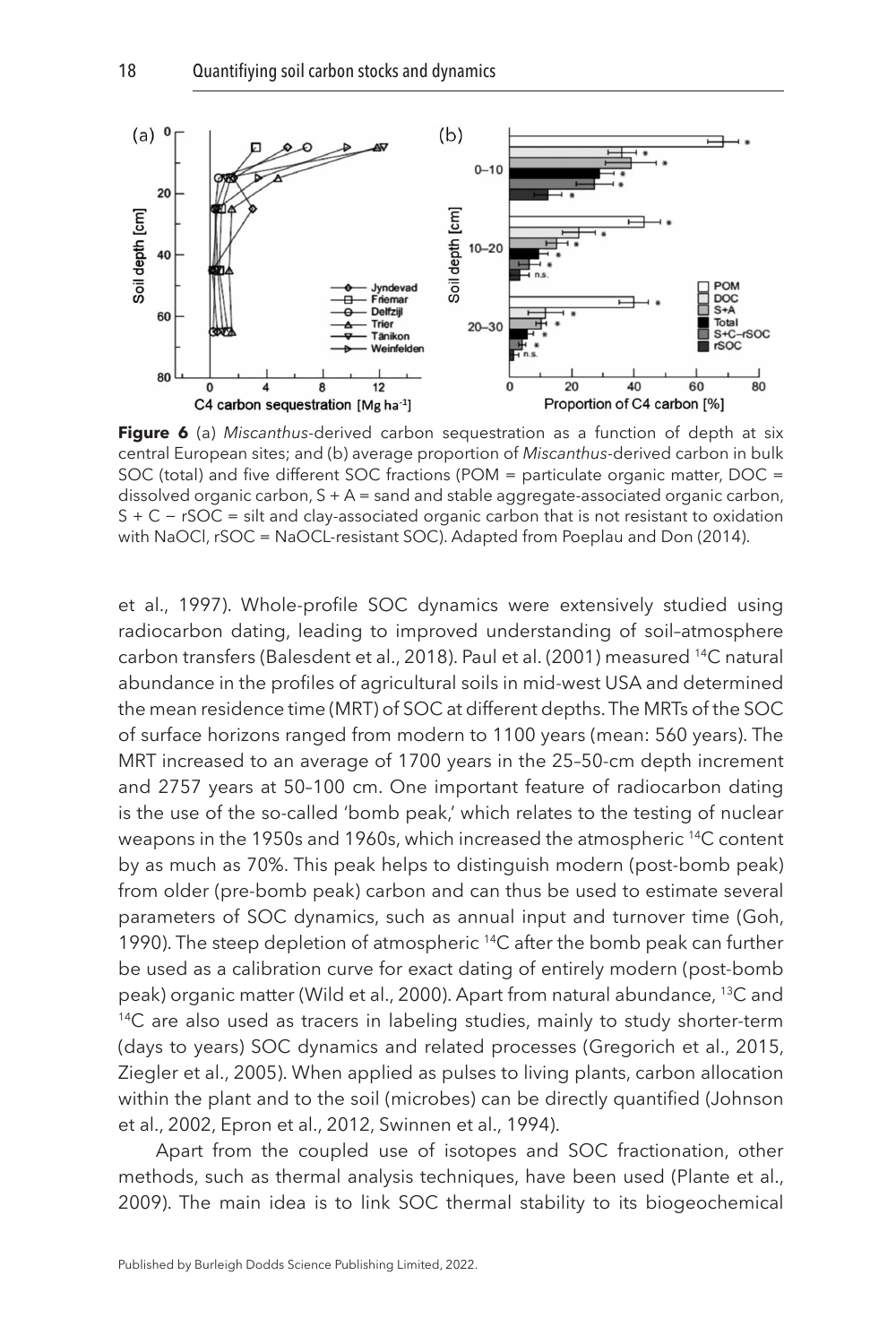<span id="page-18-0"></span>

**Figure 6** (a) *Miscanthus*-derived carbon sequestration as a function of depth at six central European sites; and (b) average proportion of *Miscanthus*-derived carbon in bulk SOC (total) and five different SOC fractions (POM = particulate organic matter, DOC = dissolved organic carbon, S + A = sand and stable aggregate-associated organic carbon, S + C − rSOC = silt and clay-associated organic carbon that is not resistant to oxidation with NaOCl, rSOC = NaOCL-resistant SOC). Adapted from [Poeplau and Don \(2014\).](#page-25-10)

[et al., 1997\)](#page-25-11). Whole-profile SOC dynamics were extensively studied using radiocarbon dating, leading to improved understanding of soil–atmosphere carbon transfers ([Balesdent et al., 2018](#page-21-11)). [Paul et al. \(2001\)](#page-24-13) measured 14C natural abundance in the profiles of agricultural soils in mid-west USA and determined the mean residence time (MRT) of SOC at different depths. The MRTs of the SOC of surface horizons ranged from modern to 1100 years (mean: 560 years). The MRT increased to an average of 1700 years in the 25–50-cm depth increment and 2757 years at 50–100 cm. One important feature of radiocarbon dating is the use of the so-called 'bomb peak,' which relates to the testing of nuclear weapons in the 1950s and 1960s, which increased the atmospheric 14C content by as much as 70%. This peak helps to distinguish modern (post-bomb peak) from older (pre-bomb peak) carbon and can thus be used to estimate several parameters of SOC dynamics, such as annual input and turnover time [\(Goh,](#page-23-15)  [1990\)](#page-23-15). The steep depletion of atmospheric <sup>14</sup>C after the bomb peak can further be used as a calibration curve for exact dating of entirely modern (post-bomb peak) organic matter ([Wild et al., 2000](#page-27-15)). Apart from natural abundance, 13C and <sup>14</sup>C are also used as tracers in labeling studies, mainly to study shorter-term (days to years) SOC dynamics and related processes [\(Gregorich et al., 2015,](#page-23-16) [Ziegler et al., 2005](#page-28-2)). When applied as pulses to living plants, carbon allocation within the plant and to the soil (microbes) can be directly quantified [\(Johnson](#page-24-14)  [et al., 2002,](#page-24-14) [Epron et al., 2012](#page-22-13), [Swinnen et al., 1994](#page-26-10)).

Apart from the coupled use of isotopes and SOC fractionation, other methods, such as thermal analysis techniques, have been used ([Plante et al.,](#page-25-12)  [2009\)](#page-25-12). The main idea is to link SOC thermal stability to its biogeochemical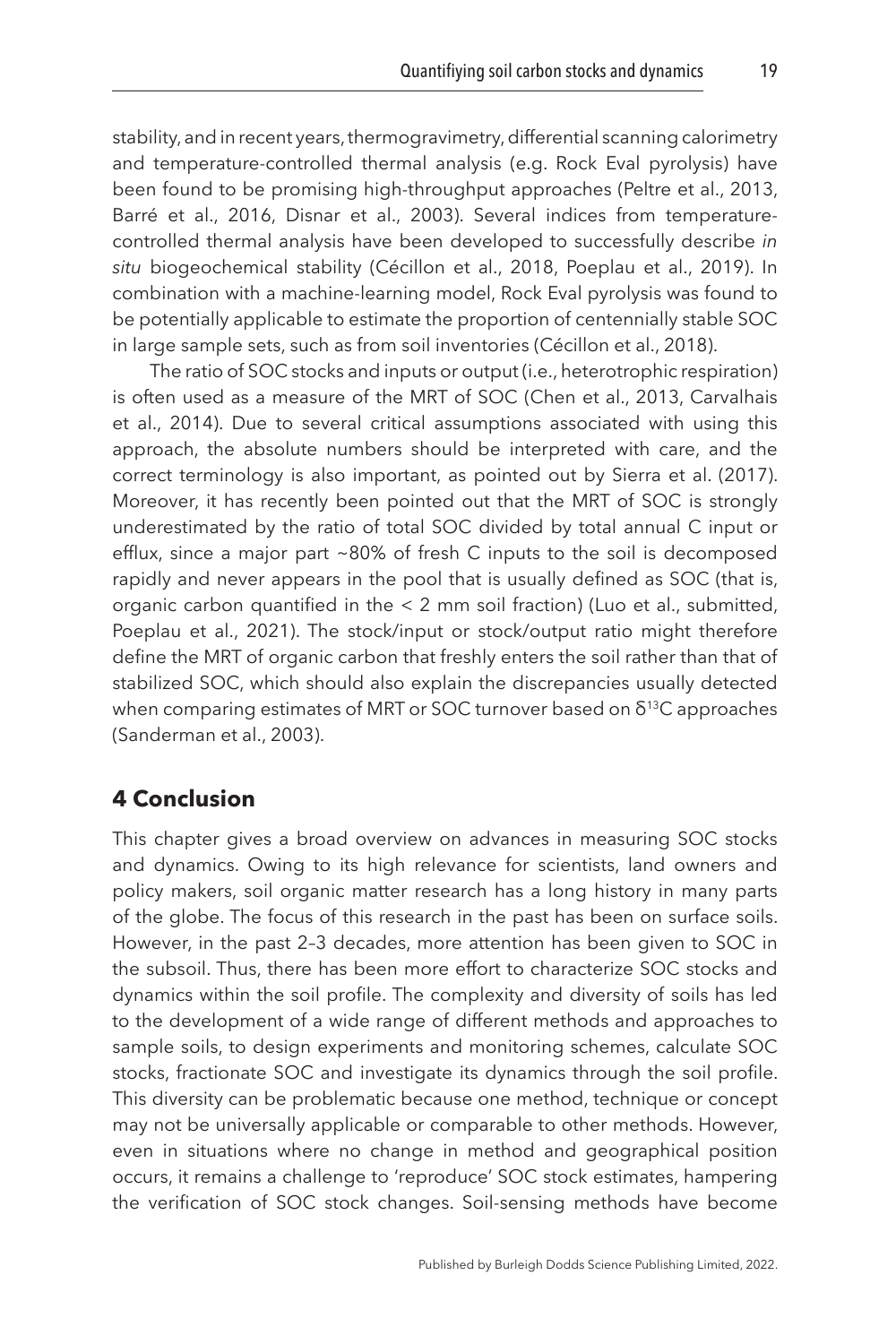stability, and in recent years, thermogravimetry, differential scanning calorimetry and temperature-controlled thermal analysis (e.g. Rock Eval pyrolysis) have been found to be promising high-throughput approaches ([Peltre et al., 2013,](#page-25-13) [Barré et al., 2016,](#page-21-12) [Disnar et al., 2003](#page-22-14)). Several indices from temperaturecontrolled thermal analysis have been developed to successfully describe *in situ* biogeochemical stability ([Cécillon et al., 2018](#page-21-13), [Poeplau et al., 2019\)](#page-25-8). In combination with a machine-learning model, Rock Eval pyrolysis was found to be potentially applicable to estimate the proportion of centennially stable SOC in large sample sets, such as from soil inventories ([Cécillon et al., 2018](#page-21-13)).

The ratio of SOC stocks and inputs or output (i.e., heterotrophic respiration) is often used as a measure of the MRT of SOC ([Chen et al., 2013,](#page-22-15) [Carvalhais](#page-21-14) [et al., 2014\)](#page-21-14). Due to several critical assumptions associated with using this approach, the absolute numbers should be interpreted with care, and the correct terminology is also important, as pointed out by [Sierra et al. \(2017\).](#page-26-11) Moreover, it has recently been pointed out that the MRT of SOC is strongly underestimated by the ratio of total SOC divided by total annual C input or efflux, since a major part ~80% of fresh C inputs to the soil is decomposed rapidly and never appears in the pool that is usually defined as SOC (that is, organic carbon quantified in the < 2 mm soil fraction) [\(Luo et al., submitted,](#page-24-15) [Poeplau et al., 2021](#page-25-14)). The stock/input or stock/output ratio might therefore define the MRT of organic carbon that freshly enters the soil rather than that of stabilized SOC, which should also explain the discrepancies usually detected when comparing estimates of MRT or SOC turnover based on δ<sup>13</sup>C approaches ([Sanderman et al., 2003](#page-26-12)).

#### <span id="page-19-0"></span>**[4 Conclusion](#page-1-4)**

This chapter gives a broad overview on advances in measuring SOC stocks and dynamics. Owing to its high relevance for scientists, land owners and policy makers, soil organic matter research has a long history in many parts of the globe. The focus of this research in the past has been on surface soils. However, in the past 2–3 decades, more attention has been given to SOC in the subsoil. Thus, there has been more effort to characterize SOC stocks and dynamics within the soil profile. The complexity and diversity of soils has led to the development of a wide range of different methods and approaches to sample soils, to design experiments and monitoring schemes, calculate SOC stocks, fractionate SOC and investigate its dynamics through the soil profile. This diversity can be problematic because one method, technique or concept may not be universally applicable or comparable to other methods. However, even in situations where no change in method and geographical position occurs, it remains a challenge to 'reproduce' SOC stock estimates, hampering the verification of SOC stock changes. Soil-sensing methods have become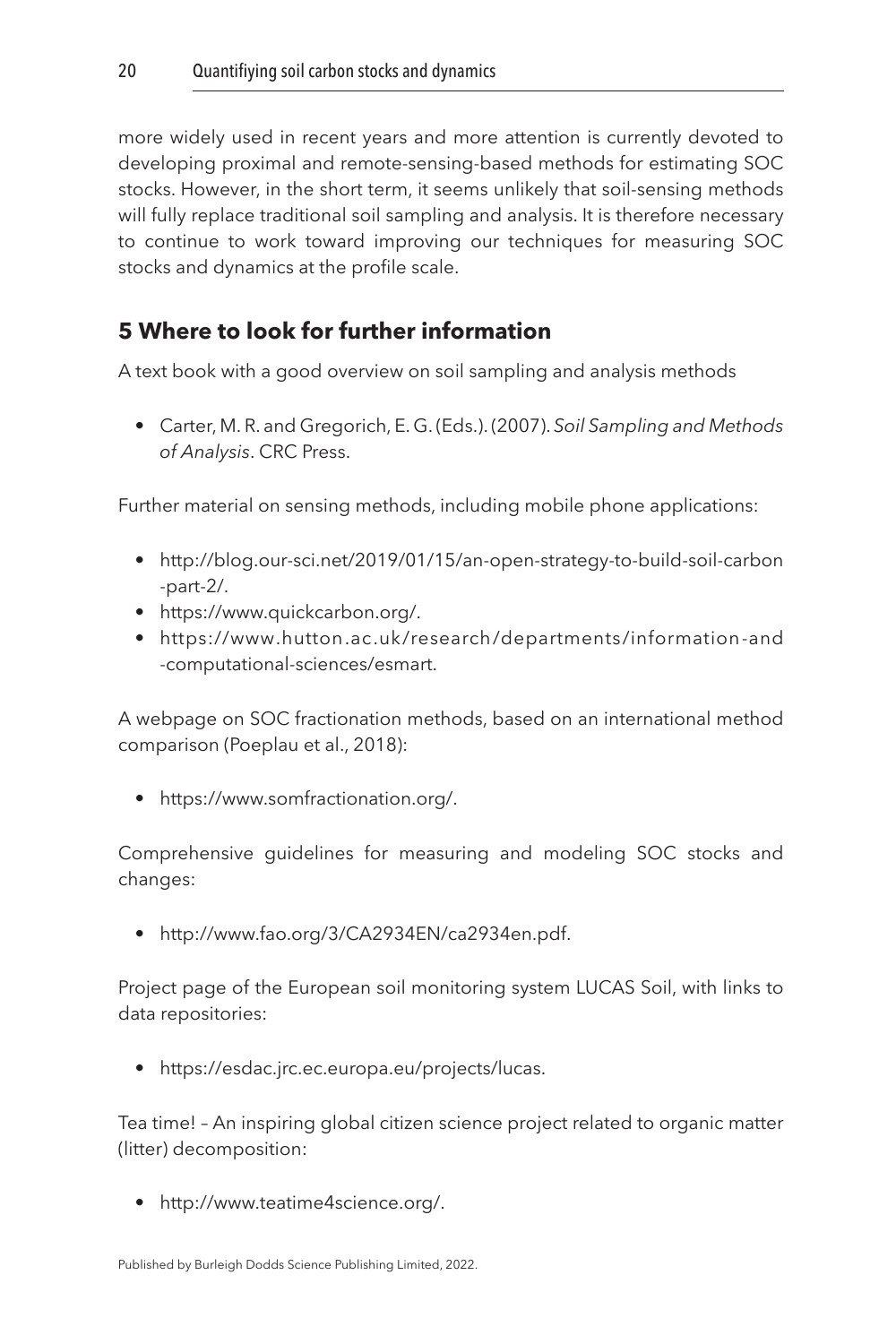more widely used in recent years and more attention is currently devoted to developing proximal and remote-sensing-based methods for estimating SOC stocks. However, in the short term, it seems unlikely that soil-sensing methods will fully replace traditional soil sampling and analysis. It is therefore necessary to continue to work toward improving our techniques for measuring SOC stocks and dynamics at the profile scale.

# <span id="page-20-0"></span>**[5 Where to look for further information](#page-1-5)**

A text book with a good overview on soil sampling and analysis methods

• Carter, M. R. and Gregorich, E. G. (Eds.). (2007). *Soil Sampling and Methods of Analysis*. CRC Press.

Further material on sensing methods, including mobile phone applications:

- [http://blog.our-sci.net/2019/01/15/an-open-strategy-to-build-soil-carbon](http://blog.our-sci.net/2019/01/15/an-open-strategy-to-build-soil-carbon-part-2/) [-part-2/.](http://blog.our-sci.net/2019/01/15/an-open-strategy-to-build-soil-carbon-part-2/)
- [https://www.quickcarbon.org/.](https://www.quickcarbon.org/)
- [https://www.hutton.ac.uk/research/departments](https://www.hutton.ac.uk/research/departments/information-and-computational-sciences/esmart) /information-and [-computational-sciences/esmart.](https://www.hutton.ac.uk/research/departments/information-and-computational-sciences/esmart)

A webpage on SOC fractionation methods, based on an international method comparison [\(Poeplau et al., 2018\)](#page-25-7):

• [https://www.somfractionation.org/.](https://www.somfractionation.org/)

Comprehensive guidelines for measuring and modeling SOC stocks and changes:

• [http://www.fao.org/3/CA2934EN/ca2934en.pdf.](http://www.fao.org/3/CA2934EN/ca2934en.pdf)

Project page of the European soil monitoring system LUCAS Soil, with links to data repositories:

• [https://esdac.jrc.ec.europa.eu/projects/lucas.](https://esdac.jrc.ec.europa.eu/projects/lucas)

Tea time! – An inspiring global citizen science project related to organic matter (litter) decomposition:

• [http://www.teatime4science.org/.](http://www.teatime4science.org/)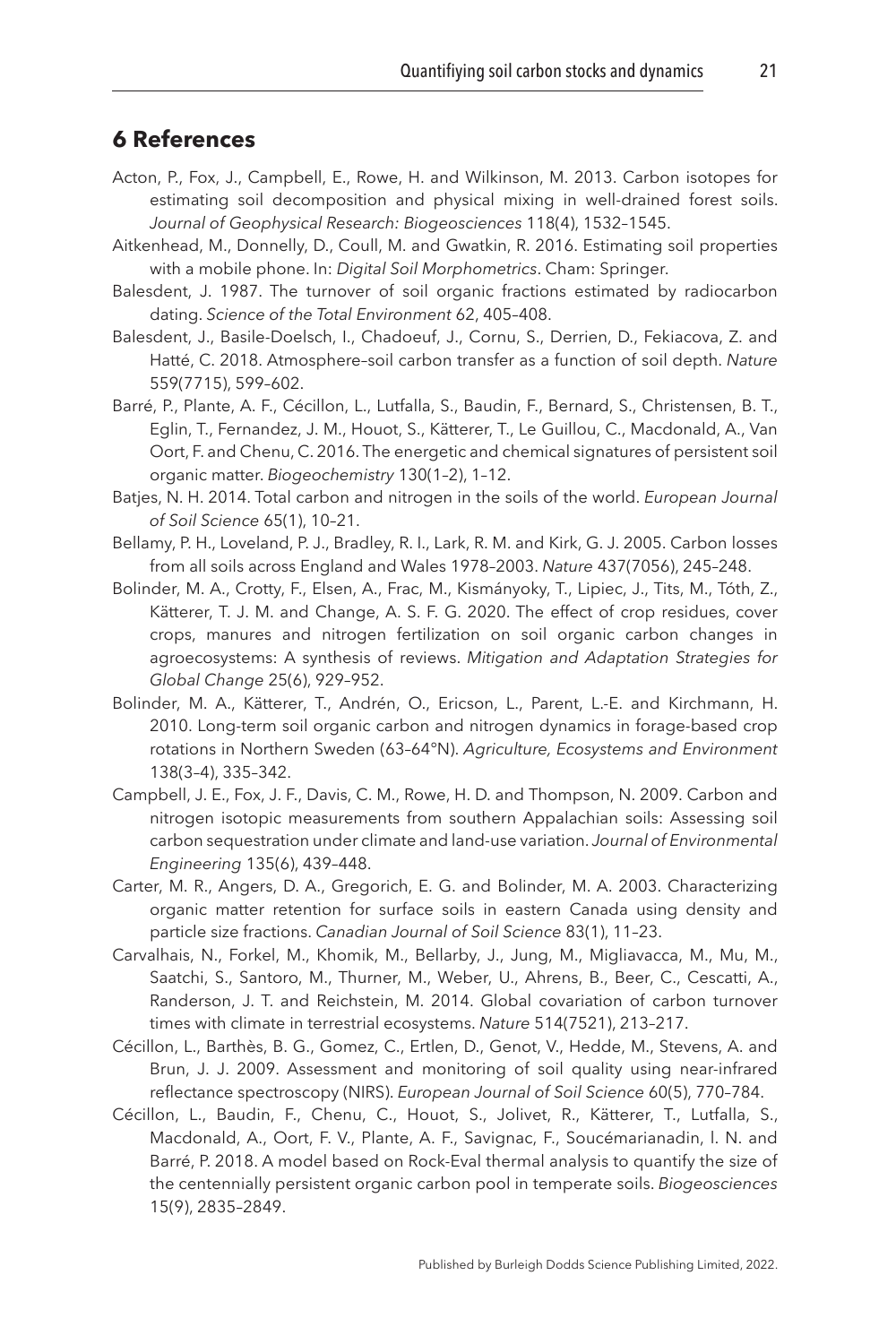#### <span id="page-21-0"></span>**[6 References](#page-1-6)**

- <span id="page-21-8"></span>Acton, P., Fox, J., Campbell, E., Rowe, H. and Wilkinson, M. 2013. Carbon isotopes for estimating soil decomposition and physical mixing in well-drained forest soils. *Journal of Geophysical Research: Biogeosciences* 118(4), 1532–1545.
- <span id="page-21-3"></span>Aitkenhead, M., Donnelly, D., Coull, M. and Gwatkin, R. 2016. Estimating soil properties with a mobile phone. In: *Digital Soil Morphometrics*. Cham: Springer.
- <span id="page-21-10"></span>Balesdent, J. 1987. The turnover of soil organic fractions estimated by radiocarbon dating. *Science of the Total Environment* 62, 405–408.
- <span id="page-21-11"></span>Balesdent, J., Basile-Doelsch, I., Chadoeuf, J., Cornu, S., Derrien, D., Fekiacova, Z. and Hatté, C. 2018. Atmosphere–soil carbon transfer as a function of soil depth. *Nature* 559(7715), 599–602.
- <span id="page-21-12"></span>Barré, P., Plante, A. F., Cécillon, L., Lutfalla, S., Baudin, F., Bernard, S., Christensen, B. T., Eglin, T., Fernandez, J. M., Houot, S., Kätterer, T., Le Guillou, C., Macdonald, A., Van Oort, F. and Chenu, C. 2016. The energetic and chemical signatures of persistent soil organic matter. *Biogeochemistry* 130(1–2), 1–12.
- <span id="page-21-2"></span>Batjes, N. H. 2014. Total carbon and nitrogen in the soils of the world. *European Journal of Soil Science* 65(1), 10–21.
- <span id="page-21-6"></span>Bellamy, P. H., Loveland, P. J., Bradley, R. I., Lark, R. M. and Kirk, G. J. 2005. Carbon losses from all soils across England and Wales 1978–2003. *Nature* 437(7056), 245–248.
- <span id="page-21-5"></span>Bolinder, M. A., Crotty, F., Elsen, A., Frac, M., Kismányoky, T., Lipiec, J., Tits, M., Tóth, Z., Kätterer, T. J. M. and Change, A. S. F. G. 2020. The effect of crop residues, cover crops, manures and nitrogen fertilization on soil organic carbon changes in agroecosystems: A synthesis of reviews. *Mitigation and Adaptation Strategies for Global Change* 25(6), 929–952.
- <span id="page-21-1"></span>Bolinder, M. A., Kätterer, T., Andrén, O., Ericson, L., Parent, L.-E. and Kirchmann, H. 2010. Long-term soil organic carbon and nitrogen dynamics in forage-based crop rotations in Northern Sweden (63–64°N). *Agriculture, Ecosystems and Environment* 138(3–4), 335–342.
- <span id="page-21-9"></span>Campbell, J. E., Fox, J. F., Davis, C. M., Rowe, H. D. and Thompson, N. 2009. Carbon and nitrogen isotopic measurements from southern Appalachian soils: Assessing soil carbon sequestration under climate and land-use variation. *Journal of Environmental Engineering* 135(6), 439–448.
- <span id="page-21-7"></span>Carter, M. R., Angers, D. A., Gregorich, E. G. and Bolinder, M. A. 2003. Characterizing organic matter retention for surface soils in eastern Canada using density and particle size fractions. *Canadian Journal of Soil Science* 83(1), 11–23.
- <span id="page-21-14"></span>Carvalhais, N., Forkel, M., Khomik, M., Bellarby, J., Jung, M., Migliavacca, M., Mu, M., Saatchi, S., Santoro, M., Thurner, M., Weber, U., Ahrens, B., Beer, C., Cescatti, A., Randerson, J. T. and Reichstein, M. 2014. Global covariation of carbon turnover times with climate in terrestrial ecosystems. *Nature* 514(7521), 213–217.
- <span id="page-21-4"></span>Cécillon, L., Barthès, B. G., Gomez, C., Ertlen, D., Genot, V., Hedde, M., Stevens, A. and Brun, J. J. 2009. Assessment and monitoring of soil quality using near-infrared reflectance spectroscopy (NIRS). *European Journal of Soil Science* 60(5), 770–784.
- <span id="page-21-13"></span>Cécillon, L., Baudin, F., Chenu, C., Houot, S., Jolivet, R., Kätterer, T., Lutfalla, S., Macdonald, A., Oort, F. V., Plante, A. F., Savignac, F., Soucémarianadin, l. N. and Barré, P. 2018. A model based on Rock-Eval thermal analysis to quantify the size of the centennially persistent organic carbon pool in temperate soils. *Biogeosciences* 15(9), 2835–2849.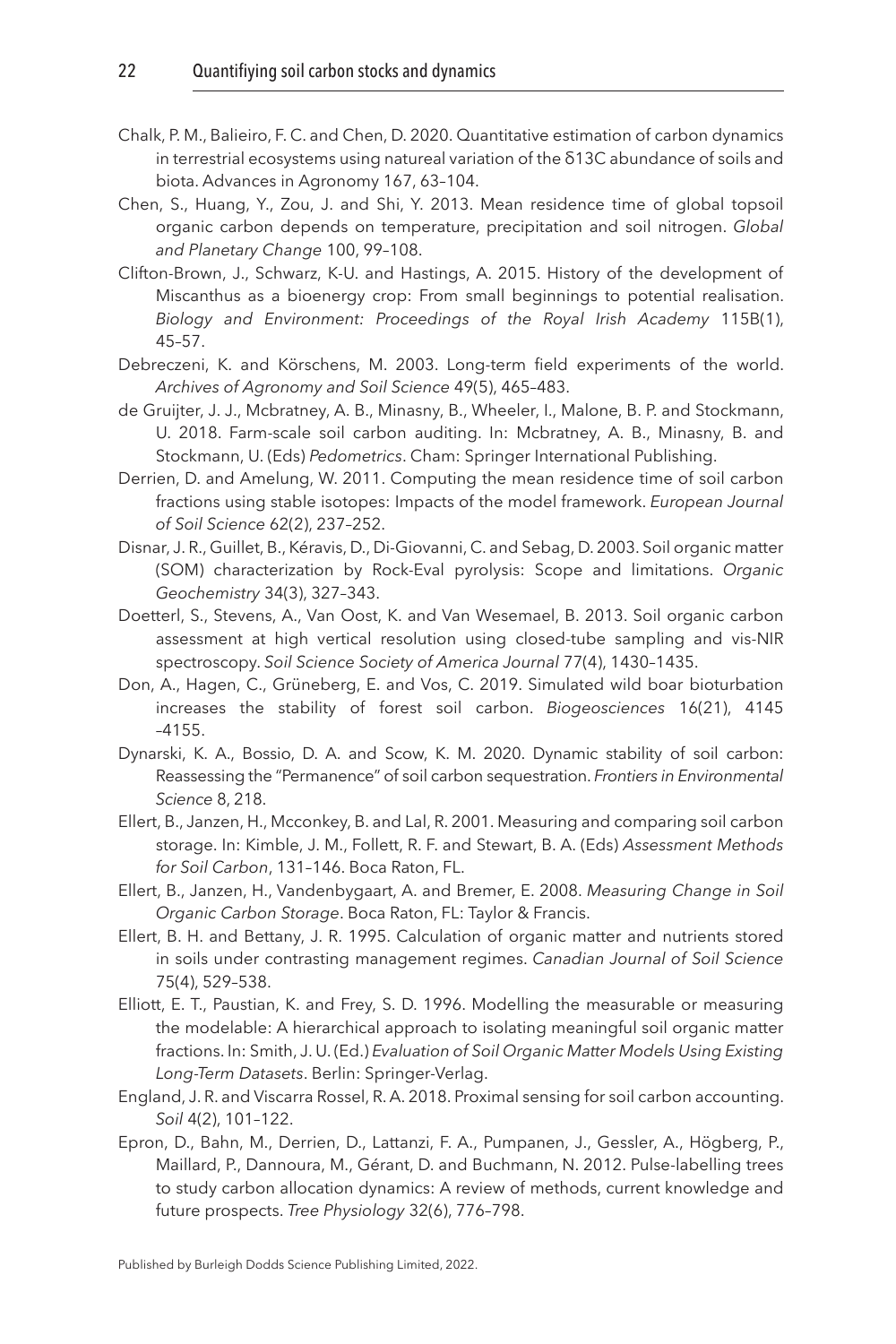- <span id="page-22-10"></span>Chalk, P. M., Balieiro, F. C. and Chen, D. 2020. Quantitative estimation of carbon dynamics in terrestrial ecosystems using natureal variation of the δ13C abundance of soils and biota. Advances in Agronomy 167, 63–104.
- <span id="page-22-15"></span>Chen, S., Huang, Y., Zou, J. and Shi, Y. 2013. Mean residence time of global topsoil organic carbon depends on temperature, precipitation and soil nitrogen. *Global and Planetary Change* 100, 99–108.
- <span id="page-22-12"></span>Clifton-Brown, J., Schwarz, K-U. and Hastings, A. 2015. History of the development of Miscanthus as a bioenergy crop: From small beginnings to potential realisation. *Biology and Environment: Proceedings of the Royal Irish Academy* 115B(1), 45–57.
- <span id="page-22-6"></span>Debreczeni, K. and Körschens, M. 2003. Long-term field experiments of the world. *Archives of Agronomy and Soil Science* 49(5), 465–483.
- <span id="page-22-0"></span>de Gruijter, J. J., Mcbratney, A. B., Minasny, B., Wheeler, I., Malone, B. P. and Stockmann, U. 2018. Farm-scale soil carbon auditing. In: Mcbratney, A. B., Minasny, B. and Stockmann, U. (Eds) *Pedometrics*. Cham: Springer International Publishing.
- <span id="page-22-11"></span>Derrien, D. and Amelung, W. 2011. Computing the mean residence time of soil carbon fractions using stable isotopes: Impacts of the model framework. *European Journal of Soil Science* 62(2), 237–252.
- <span id="page-22-14"></span>Disnar, J. R., Guillet, B., Kéravis, D., Di-Giovanni, C. and Sebag, D. 2003. Soil organic matter (SOM) characterization by Rock-Eval pyrolysis: Scope and limitations. *Organic Geochemistry* 34(3), 327–343.
- <span id="page-22-3"></span>Doetterl, S., Stevens, A., Van Oost, K. and Van Wesemael, B. 2013. Soil organic carbon assessment at high vertical resolution using closed-tube sampling and vis-NIR spectroscopy. *Soil Science Society of America Journal* 77(4), 1430–1435.
- <span id="page-22-5"></span>Don, A., Hagen, C., Grüneberg, E. and Vos, C. 2019. Simulated wild boar bioturbation increases the stability of forest soil carbon. *Biogeosciences* 16(21), 4145 –4155.
- <span id="page-22-8"></span>Dynarski, K. A., Bossio, D. A. and Scow, K. M. 2020. Dynamic stability of soil carbon: Reassessing the "Permanence" of soil carbon sequestration. *Frontiers in Environmental Science* 8, 218.
- <span id="page-22-7"></span>Ellert, B., Janzen, H., Mcconkey, B. and Lal, R. 2001. Measuring and comparing soil carbon storage. In: Kimble, J. M., Follett, R. F. and Stewart, B. A. (Eds) *Assessment Methods for Soil Carbon*, 131–146. Boca Raton, FL.
- <span id="page-22-1"></span>Ellert, B., Janzen, H., Vandenbygaart, A. and Bremer, E. 2008. *Measuring Change in Soil Organic Carbon Storage*. Boca Raton, FL: Taylor & Francis.
- <span id="page-22-4"></span>Ellert, B. H. and Bettany, J. R. 1995. Calculation of organic matter and nutrients stored in soils under contrasting management regimes. *Canadian Journal of Soil Science* 75(4), 529–538.
- <span id="page-22-9"></span>Elliott, E. T., Paustian, K. and Frey, S. D. 1996. Modelling the measurable or measuring the modelable: A hierarchical approach to isolating meaningful soil organic matter fractions. In: Smith, J. U. (Ed.) *Evaluation of Soil Organic Matter Models Using Existing Long-Term Datasets*. Berlin: Springer-Verlag.
- <span id="page-22-2"></span>England, J. R. and Viscarra Rossel, R. A. 2018. Proximal sensing for soil carbon accounting. *Soil* 4(2), 101–122.
- <span id="page-22-13"></span>Epron, D., Bahn, M., Derrien, D., Lattanzi, F. A., Pumpanen, J., Gessler, A., Högberg, P., Maillard, P., Dannoura, M., Gérant, D. and Buchmann, N. 2012. Pulse-labelling trees to study carbon allocation dynamics: A review of methods, current knowledge and future prospects. *Tree Physiology* 32(6), 776–798.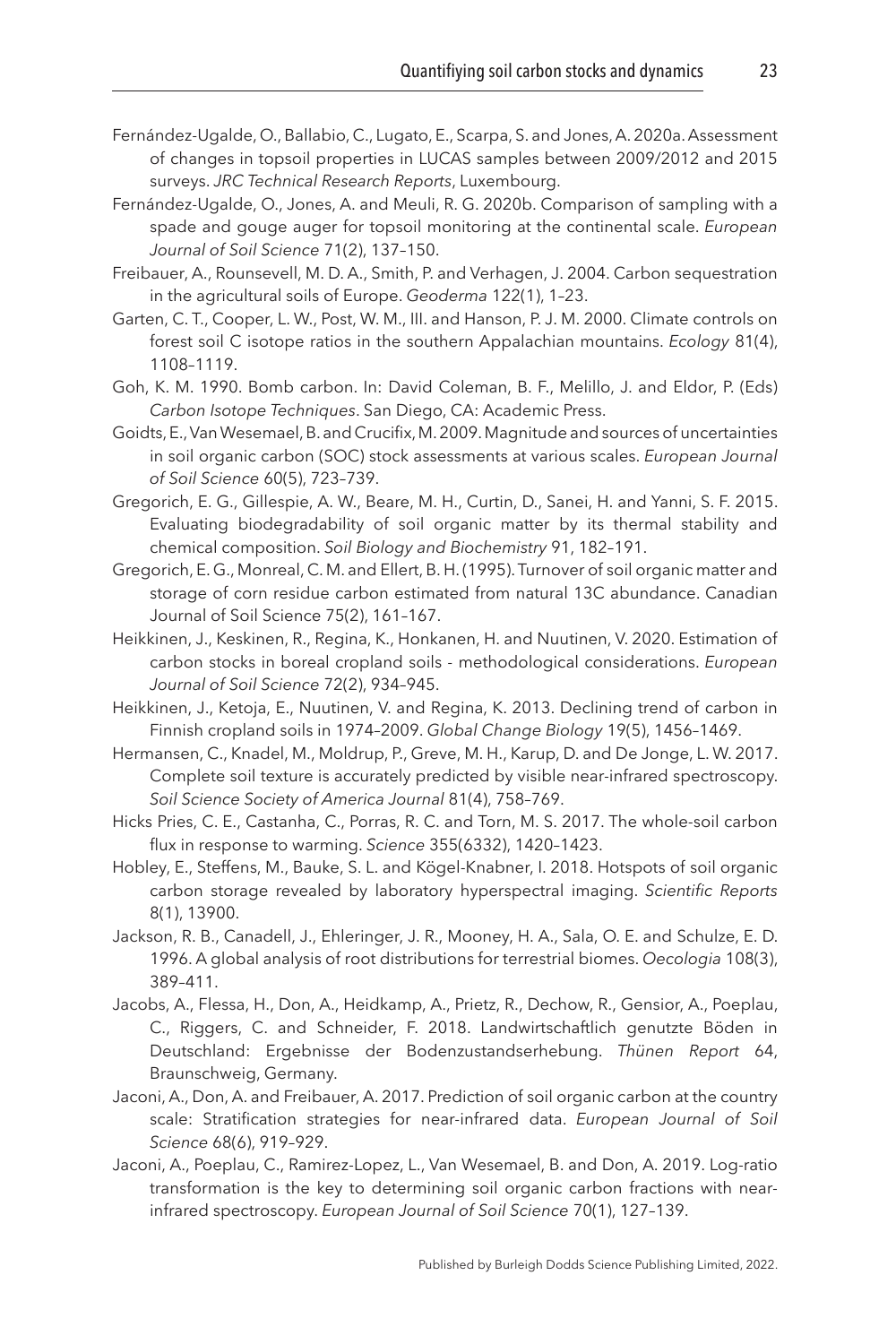- <span id="page-23-11"></span>Fernández-Ugalde, O., Ballabio, C., Lugato, E., Scarpa, S. and Jones, A. 2020a. Assessment of changes in topsoil properties in LUCAS samples between 2009/2012 and 2015 surveys. *JRC Technical Research Reports*, Luxembourg.
- <span id="page-23-4"></span>Fernández-Ugalde, O., Jones, A. and Meuli, R. G. 2020b. Comparison of sampling with a spade and gouge auger for topsoil monitoring at the continental scale. *European Journal of Soil Science* 71(2), 137–150.
- <span id="page-23-10"></span>Freibauer, A., Rounsevell, M. D. A., Smith, P. and Verhagen, J. 2004. Carbon sequestration in the agricultural soils of Europe. *Geoderma* 122(1), 1–23.
- <span id="page-23-13"></span>Garten, C. T., Cooper, L. W., Post, W. M., III. and Hanson, P. J. M. 2000. Climate controls on forest soil C isotope ratios in the southern Appalachian mountains. *Ecology* 81(4), 1108–1119.
- <span id="page-23-15"></span>Goh, K. M. 1990. Bomb carbon. In: David Coleman, B. F., Melillo, J. and Eldor, P. (Eds) *Carbon Isotope Techniques*. San Diego, CA: Academic Press.
- <span id="page-23-0"></span>Goidts, E., Van Wesemael, B. and Crucifix, M. 2009. Magnitude and sources of uncertainties in soil organic carbon (SOC) stock assessments at various scales. *European Journal of Soil Science* 60(5), 723–739.
- <span id="page-23-16"></span>Gregorich, E. G., Gillespie, A. W., Beare, M. H., Curtin, D., Sanei, H. and Yanni, S. F. 2015. Evaluating biodegradability of soil organic matter by its thermal stability and chemical composition. *Soil Biology and Biochemistry* 91, 182–191.
- <span id="page-23-14"></span>Gregorich, E. G., Monreal, C. M. and Ellert, B. H. (1995). Turnover of soil organic matter and storage of corn residue carbon estimated from natural 13C abundance. Canadian Journal of Soil Science 75(2), 161–167.
- <span id="page-23-1"></span>Heikkinen, J., Keskinen, R., Regina, K., Honkanen, H. and Nuutinen, V. 2020. Estimation of carbon stocks in boreal cropland soils - methodological considerations. *European Journal of Soil Science* 72(2), 934–945.
- <span id="page-23-12"></span>Heikkinen, J., Ketoja, E., Nuutinen, V. and Regina, K. 2013. Declining trend of carbon in Finnish cropland soils in 1974–2009. *Global Change Biology* 19(5), 1456–1469.
- <span id="page-23-8"></span>Hermansen, C., Knadel, M., Moldrup, P., Greve, M. H., Karup, D. and De Jonge, L. W. 2017. Complete soil texture is accurately predicted by visible near-infrared spectroscopy. *Soil Science Society of America Journal* 81(4), 758–769.
- <span id="page-23-2"></span>Hicks Pries, C. E., Castanha, C., Porras, R. C. and Torn, M. S. 2017. The whole-soil carbon flux in response to warming. *Science* 355(6332), 1420–1423.
- <span id="page-23-9"></span>Hobley, E., Steffens, M., Bauke, S. L. and Kögel-Knabner, I. 2018. Hotspots of soil organic carbon storage revealed by laboratory hyperspectral imaging. *Scientific Reports* 8(1), 13900.
- <span id="page-23-3"></span>Jackson, R. B., Canadell, J., Ehleringer, J. R., Mooney, H. A., Sala, O. E. and Schulze, E. D. 1996. A global analysis of root distributions for terrestrial biomes. *Oecologia* 108(3), 389–411.
- <span id="page-23-5"></span>Jacobs, A., Flessa, H., Don, A., Heidkamp, A., Prietz, R., Dechow, R., Gensior, A., Poeplau, C., Riggers, C. and Schneider, F. 2018. Landwirtschaftlich genutzte Böden in Deutschland: Ergebnisse der Bodenzustandserhebung. *Thünen Report* 64, Braunschweig, Germany.
- <span id="page-23-6"></span>Jaconi, A., Don, A. and Freibauer, A. 2017. Prediction of soil organic carbon at the country scale: Stratification strategies for near-infrared data. *European Journal of Soil Science* 68(6), 919–929.
- <span id="page-23-7"></span>Jaconi, A., Poeplau, C., Ramirez-Lopez, L., Van Wesemael, B. and Don, A. 2019. Log-ratio transformation is the key to determining soil organic carbon fractions with nearinfrared spectroscopy. *European Journal of Soil Science* 70(1), 127–139.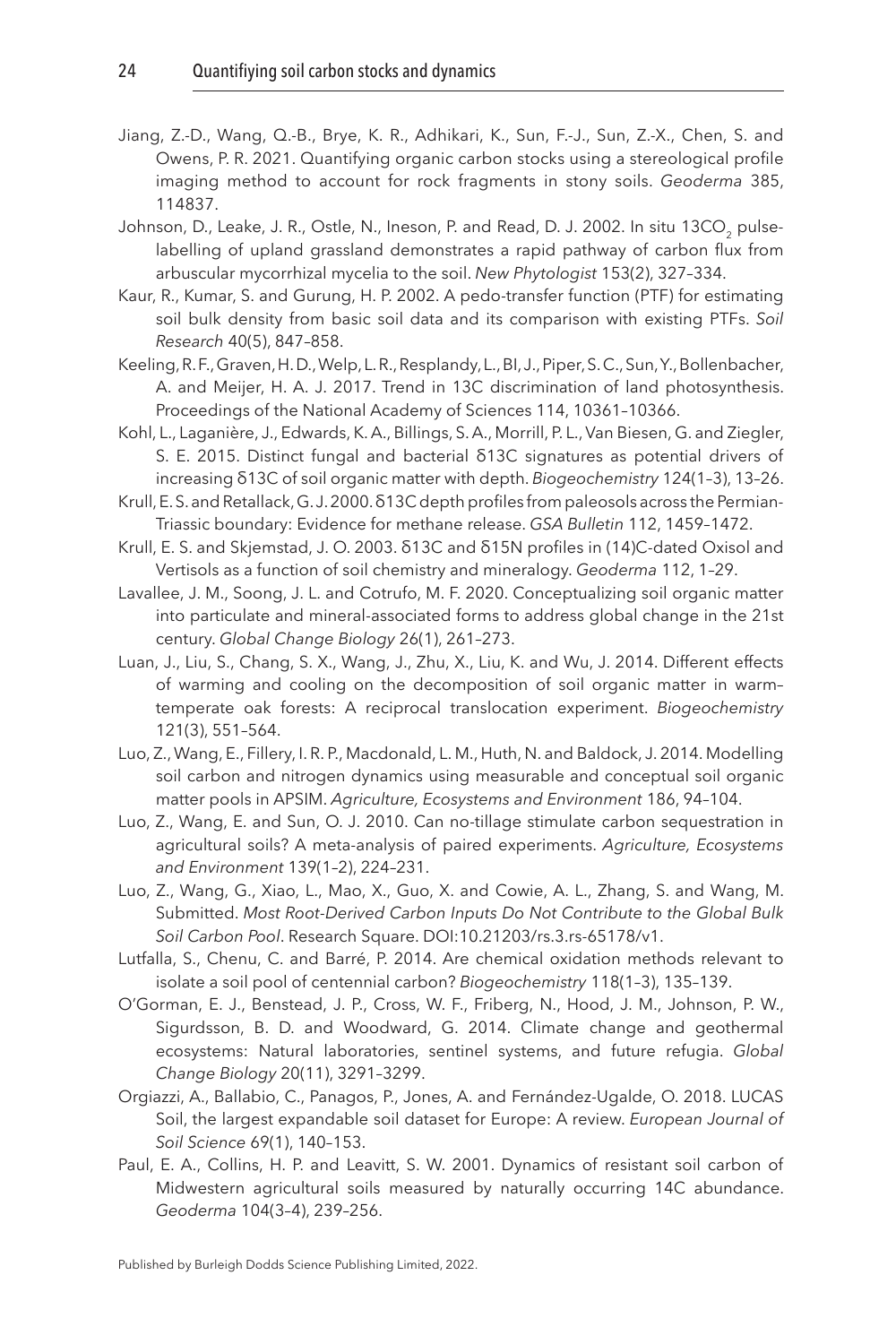- <span id="page-24-3"></span>Jiang, Z.-D., Wang, Q.-B., Brye, K. R., Adhikari, K., Sun, F.-J., Sun, Z.-X., Chen, S. and Owens, P. R. 2021. Quantifying organic carbon stocks using a stereological profile imaging method to account for rock fragments in stony soils. *Geoderma* 385, 114837.
- <span id="page-24-14"></span>Johnson, D., Leake, J. R., Ostle, N., Ineson, P. and Read, D. J. 2002. In situ 13CO<sub>2</sub> pulselabelling of upland grassland demonstrates a rapid pathway of carbon flux from arbuscular mycorrhizal mycelia to the soil. *New Phytologist* 153(2), 327–334.
- <span id="page-24-2"></span>Kaur, R., Kumar, S. and Gurung, H. P. 2002. A pedo-transfer function (PTF) for estimating soil bulk density from basic soil data and its comparison with existing PTFs. *Soil Research* 40(5), 847–858.
- <span id="page-24-10"></span>Keeling, R. F., Graven, H. D., Welp, L. R., Resplandy, L., BI, J., Piper, S. C., Sun, Y., Bollenbacher, A. and Meijer, H. A. J. 2017. Trend in 13C discrimination of land photosynthesis. Proceedings of the National Academy of Sciences 114, 10361–10366.
- <span id="page-24-9"></span>Kohl, L., Laganière, J., Edwards, K. A., Billings, S. A., Morrill, P. L., Van Biesen, G. and Ziegler, S. E. 2015. Distinct fungal and bacterial δ13C signatures as potential drivers of increasing δ13C of soil organic matter with depth. *Biogeochemistry* 124(1–3), 13–26.
- <span id="page-24-12"></span>Krull, E. S. and Retallack, G. J. 2000. δ13C depth profiles from paleosols across the Permian-Triassic boundary: Evidence for methane release. *GSA Bulletin* 112, 1459–1472.
- <span id="page-24-11"></span>Krull, E. S. and Skjemstad, J. O. 2003. δ13C and δ15N profiles in (14)C-dated Oxisol and Vertisols as a function of soil chemistry and mineralogy. *Geoderma* 112, 1–29.
- <span id="page-24-8"></span>Lavallee, J. M., Soong, J. L. and Cotrufo, M. F. 2020. Conceptualizing soil organic matter into particulate and mineral-associated forms to address global change in the 21st century. *Global Change Biology* 26(1), 261–273.
- <span id="page-24-5"></span>Luan, J., Liu, S., Chang, S. X., Wang, J., Zhu, X., Liu, K. and Wu, J. 2014. Different effects of warming and cooling on the decomposition of soil organic matter in warm– temperate oak forests: A reciprocal translocation experiment. *Biogeochemistry* 121(3), 551–564.
- <span id="page-24-7"></span>Luo, Z., Wang, E., Fillery, I. R. P., Macdonald, L. M., Huth, N. and Baldock, J. 2014. Modelling soil carbon and nitrogen dynamics using measurable and conceptual soil organic matter pools in APSIM. *Agriculture, Ecosystems and Environment* 186, 94–104.
- <span id="page-24-1"></span>Luo, Z., Wang, E. and Sun, O. J. 2010. Can no-tillage stimulate carbon sequestration in agricultural soils? A meta-analysis of paired experiments. *Agriculture, Ecosystems and Environment* 139(1–2), 224–231.
- <span id="page-24-15"></span>Luo, Z., Wang, G., Xiao, L., Mao, X., Guo, X. and Cowie, A. L., Zhang, S. and Wang, M. Submitted. *Most Root-Derived Carbon Inputs Do Not Contribute to the Global Bulk Soil Carbon Pool*. Research Square. DOI:10.21203[/rs.3.rs-65178/v1.](http://rs.3.rs-65178/v1)
- <span id="page-24-6"></span>Lutfalla, S., Chenu, C. and Barré, P. 2014. Are chemical oxidation methods relevant to isolate a soil pool of centennial carbon? *Biogeochemistry* 118(1–3), 135–139.
- <span id="page-24-4"></span>O'Gorman, E. J., Benstead, J. P., Cross, W. F., Friberg, N., Hood, J. M., Johnson, P. W., Sigurdsson, B. D. and Woodward, G. 2014. Climate change and geothermal ecosystems: Natural laboratories, sentinel systems, and future refugia. *Global Change Biology* 20(11), 3291–3299.
- <span id="page-24-0"></span>Orgiazzi, A., Ballabio, C., Panagos, P., Jones, A. and Fernández-Ugalde, O. 2018. LUCAS Soil, the largest expandable soil dataset for Europe: A review. *European Journal of Soil Science* 69(1), 140–153.
- <span id="page-24-13"></span>Paul, E. A., Collins, H. P. and Leavitt, S. W. 2001. Dynamics of resistant soil carbon of Midwestern agricultural soils measured by naturally occurring 14C abundance. *Geoderma* 104(3–4), 239–256.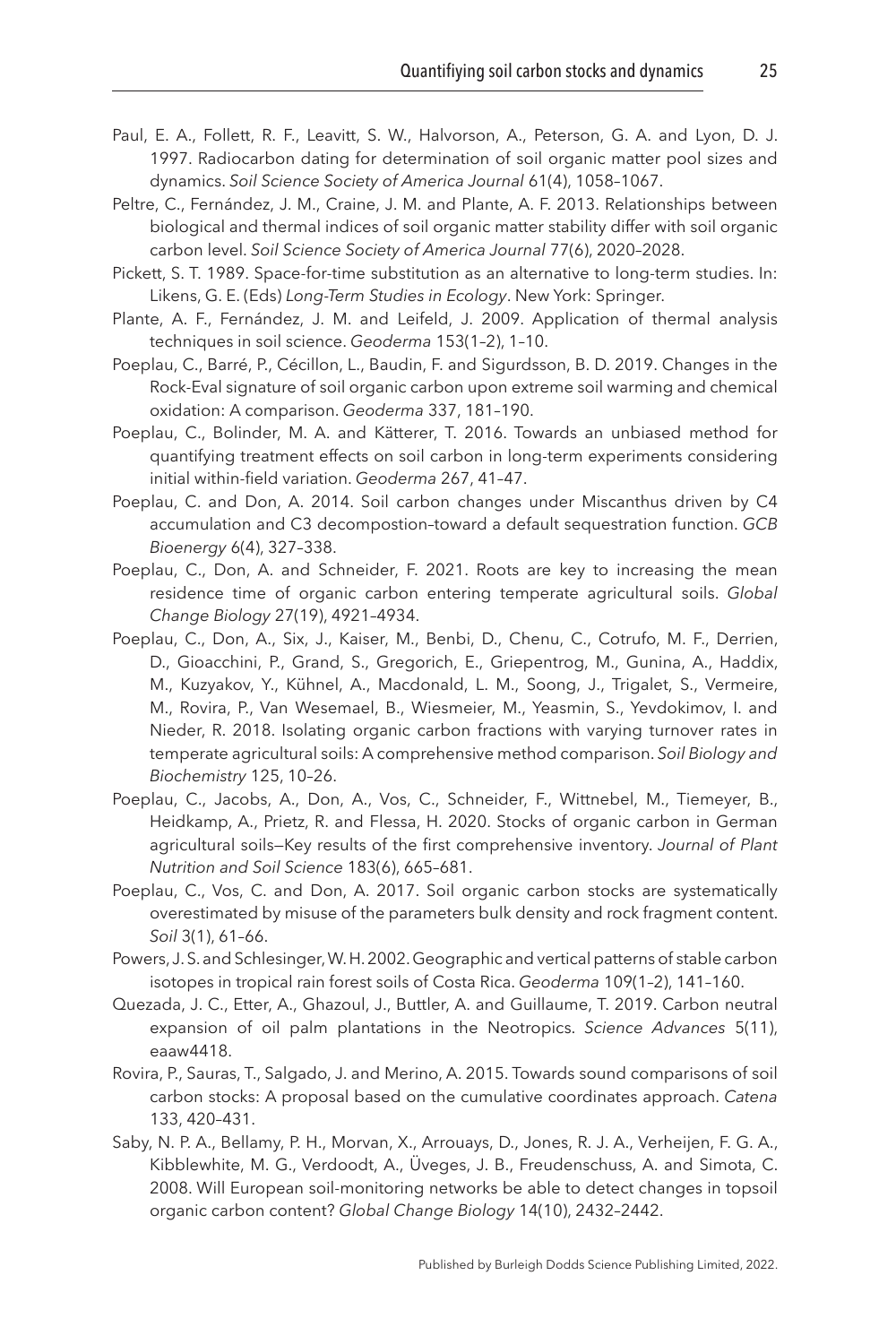- <span id="page-25-11"></span>Paul, E. A., Follett, R. F., Leavitt, S. W., Halvorson, A., Peterson, G. A. and Lyon, D. J. 1997. Radiocarbon dating for determination of soil organic matter pool sizes and dynamics. *Soil Science Society of America Journal* 61(4), 1058–1067.
- <span id="page-25-13"></span>Peltre, C., Fernández, J. M., Craine, J. M. and Plante, A. F. 2013. Relationships between biological and thermal indices of soil organic matter stability differ with soil organic carbon level. *Soil Science Society of America Journal* 77(6), 2020–2028.
- <span id="page-25-5"></span>Pickett, S. T. 1989. Space-for-time substitution as an alternative to long-term studies. In: Likens, G. E. (Eds) *Long-Term Studies in Ecology*. New York: Springer.
- <span id="page-25-12"></span>Plante, A. F., Fernández, J. M. and Leifeld, J. 2009. Application of thermal analysis techniques in soil science. *Geoderma* 153(1–2), 1–10.
- <span id="page-25-8"></span>Poeplau, C., Barré, P., Cécillon, L., Baudin, F. and Sigurdsson, B. D. 2019. Changes in the Rock-Eval signature of soil organic carbon upon extreme soil warming and chemical oxidation: A comparison. *Geoderma* 337, 181–190.
- <span id="page-25-4"></span>Poeplau, C., Bolinder, M. A. and Kätterer, T. 2016. Towards an unbiased method for quantifying treatment effects on soil carbon in long-term experiments considering initial within-field variation. *Geoderma* 267, 41–47.
- <span id="page-25-10"></span>Poeplau, C. and Don, A. 2014. Soil carbon changes under Miscanthus driven by C4 accumulation and C3 decompostion–toward a default sequestration function. *GCB Bioenergy* 6(4), 327–338.
- <span id="page-25-14"></span>Poeplau, C., Don, A. and Schneider, F. 2021. Roots are key to increasing the mean residence time of organic carbon entering temperate agricultural soils. *Global Change Biology* 27(19), 4921–4934.
- <span id="page-25-7"></span>Poeplau, C., Don, A., Six, J., Kaiser, M., Benbi, D., Chenu, C., Cotrufo, M. F., Derrien, D., Gioacchini, P., Grand, S., Gregorich, E., Griepentrog, M., Gunina, A., Haddix, M., Kuzyakov, Y., Kühnel, A., Macdonald, L. M., Soong, J., Trigalet, S., Vermeire, M., Rovira, P., Van Wesemael, B., Wiesmeier, M., Yeasmin, S., Yevdokimov, I. and Nieder, R. 2018. Isolating organic carbon fractions with varying turnover rates in temperate agricultural soils: A comprehensive method comparison. *Soil Biology and Biochemistry* 125, 10–26.
- <span id="page-25-1"></span>Poeplau, C., Jacobs, A., Don, A., Vos, C., Schneider, F., Wittnebel, M., Tiemeyer, B., Heidkamp, A., Prietz, R. and Flessa, H. 2020. Stocks of organic carbon in German agricultural soils—Key results of the first comprehensive inventory. *Journal of Plant Nutrition and Soil Science* 183(6), 665–681.
- <span id="page-25-2"></span>Poeplau, C., Vos, C. and Don, A. 2017. Soil organic carbon stocks are systematically overestimated by misuse of the parameters bulk density and rock fragment content. *Soil* 3(1), 61–66.
- <span id="page-25-9"></span>Powers, J. S. and Schlesinger, W. H. 2002. Geographic and vertical patterns of stable carbon isotopes in tropical rain forest soils of Costa Rica. *Geoderma* 109(1–2), 141–160.
- <span id="page-25-6"></span>Quezada, J. C., Etter, A., Ghazoul, J., Buttler, A. and Guillaume, T. 2019. Carbon neutral expansion of oil palm plantations in the Neotropics. *Science Advances* 5(11), eaaw4418.
- <span id="page-25-3"></span>Rovira, P., Sauras, T., Salgado, J. and Merino, A. 2015. Towards sound comparisons of soil carbon stocks: A proposal based on the cumulative coordinates approach. *Catena* 133, 420–431.
- <span id="page-25-0"></span>Saby, N. P. A., Bellamy, P. H., Morvan, X., Arrouays, D., Jones, R. J. A., Verheijen, F. G. A., Kibblewhite, M. G., Verdoodt, A., Üveges, J. B., Freudenschuss, A. and Simota, C. 2008. Will European soil-monitoring networks be able to detect changes in topsoil organic carbon content? *Global Change Biology* 14(10), 2432–2442.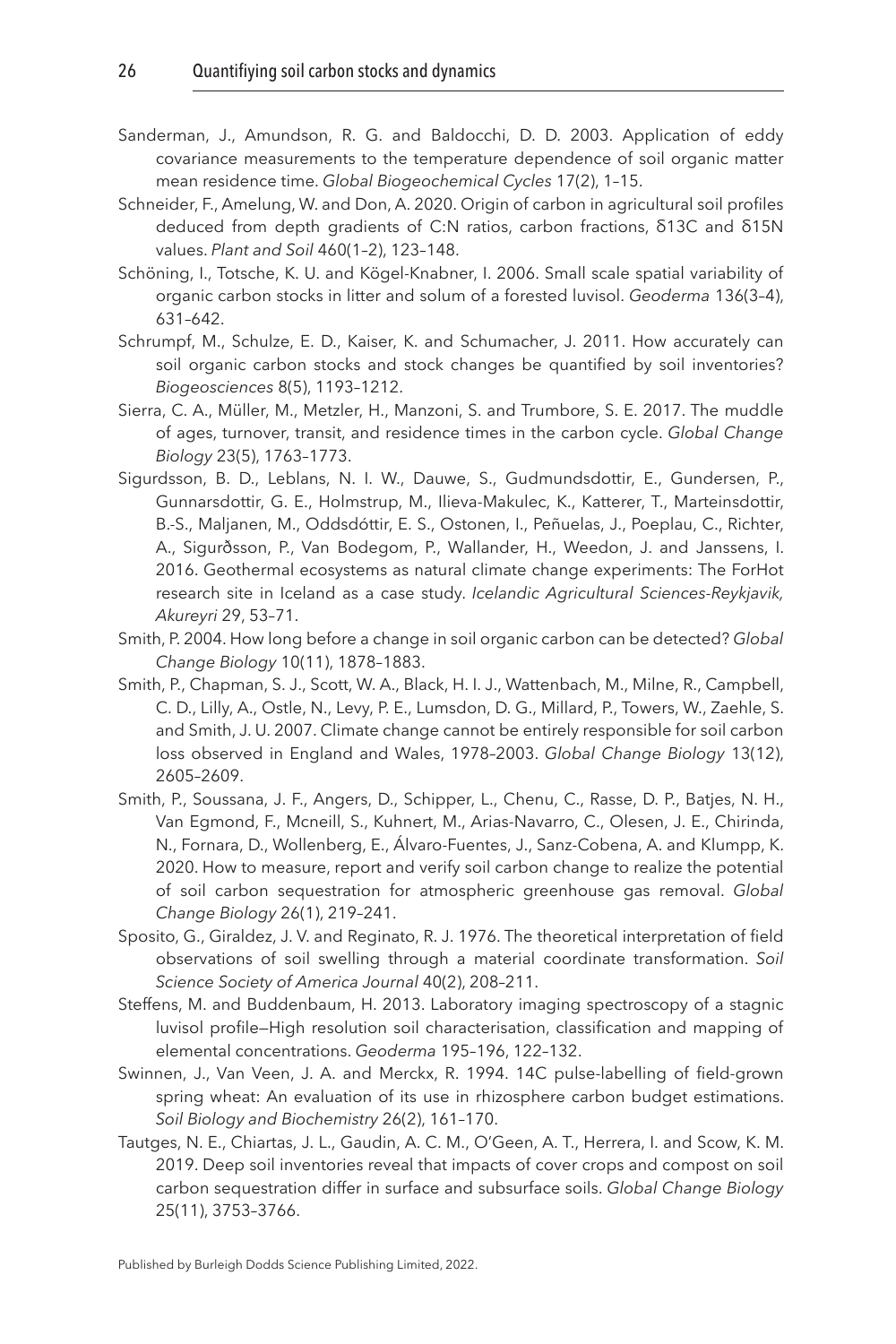- <span id="page-26-12"></span>Sanderman, J., Amundson, R. G. and Baldocchi, D. D. 2003. Application of eddy covariance measurements to the temperature dependence of soil organic matter mean residence time. *Global Biogeochemical Cycles* 17(2), 1–15.
- <span id="page-26-5"></span>Schneider, F., Amelung, W. and Don, A. 2020. Origin of carbon in agricultural soil profiles deduced from depth gradients of C:N ratios, carbon fractions, δ13C and δ15N values. *Plant and Soil* 460(1–2), 123–148.
- <span id="page-26-3"></span>Schöning, I., Totsche, K. U. and Kögel-Knabner, I. 2006. Small scale spatial variability of organic carbon stocks in litter and solum of a forested luvisol. *Geoderma* 136(3–4), 631–642.
- <span id="page-26-2"></span>Schrumpf, M., Schulze, E. D., Kaiser, K. and Schumacher, J. 2011. How accurately can soil organic carbon stocks and stock changes be quantified by soil inventories? *Biogeosciences* 8(5), 1193–1212.
- <span id="page-26-11"></span>Sierra, C. A., Müller, M., Metzler, H., Manzoni, S. and Trumbore, S. E. 2017. The muddle of ages, turnover, transit, and residence times in the carbon cycle. *Global Change Biology* 23(5), 1763–1773.
- <span id="page-26-9"></span>Sigurdsson, B. D., Leblans, N. I. W., Dauwe, S., Gudmundsdottir, E., Gundersen, P., Gunnarsdottir, G. E., Holmstrup, M., Ilieva-Makulec, K., Katterer, T., Marteinsdottir, B.-S., Maljanen, M., Oddsdóttir, E. S., Ostonen, I., Peñuelas, J., Poeplau, C., Richter, A., Sigurðsson, P., Van Bodegom, P., Wallander, H., Weedon, J. and Janssens, I. 2016. Geothermal ecosystems as natural climate change experiments: The ForHot research site in Iceland as a case study. *Icelandic Agricultural Sciences-Reykjavik, Akureyri* 29, 53–71.
- <span id="page-26-1"></span>Smith, P. 2004. How long before a change in soil organic carbon can be detected? *Global Change Biology* 10(11), 1878–1883.
- <span id="page-26-8"></span>Smith, P., Chapman, S. J., Scott, W. A., Black, H. I. J., Wattenbach, M., Milne, R., Campbell, C. D., Lilly, A., Ostle, N., Levy, P. E., Lumsdon, D. G., Millard, P., Towers, W., Zaehle, S. and Smith, J. U. 2007. Climate change cannot be entirely responsible for soil carbon loss observed in England and Wales, 1978–2003. *Global Change Biology* 13(12), 2605–2609.
- <span id="page-26-0"></span>Smith, P., Soussana, J. F., Angers, D., Schipper, L., Chenu, C., Rasse, D. P., Batjes, N. H., Van Egmond, F., Mcneill, S., Kuhnert, M., Arias-Navarro, C., Olesen, J. E., Chirinda, N., Fornara, D., Wollenberg, E., Álvaro-Fuentes, J., Sanz-Cobena, A. and Klumpp, K. 2020. How to measure, report and verify soil carbon change to realize the potential of soil carbon sequestration for atmospheric greenhouse gas removal. *Global Change Biology* 26(1), 219–241.
- <span id="page-26-7"></span>Sposito, G., Giraldez, J. V. and Reginato, R. J. 1976. The theoretical interpretation of field observations of soil swelling through a material coordinate transformation. *Soil Science Society of America Journal* 40(2), 208–211.
- <span id="page-26-6"></span>Steffens, M. and Buddenbaum, H. 2013. Laboratory imaging spectroscopy of a stagnic luvisol profile—High resolution soil characterisation, classification and mapping of elemental concentrations. *Geoderma* 195–196, 122–132.
- <span id="page-26-10"></span>Swinnen, J., Van Veen, J. A. and Merckx, R. 1994. 14C pulse-labelling of field-grown spring wheat: An evaluation of its use in rhizosphere carbon budget estimations. *Soil Biology and Biochemistry* 26(2), 161–170.
- <span id="page-26-4"></span>Tautges, N. E., Chiartas, J. L., Gaudin, A. C. M., O'Geen, A. T., Herrera, I. and Scow, K. M. 2019. Deep soil inventories reveal that impacts of cover crops and compost on soil carbon sequestration differ in surface and subsurface soils. *Global Change Biology* 25(11), 3753–3766.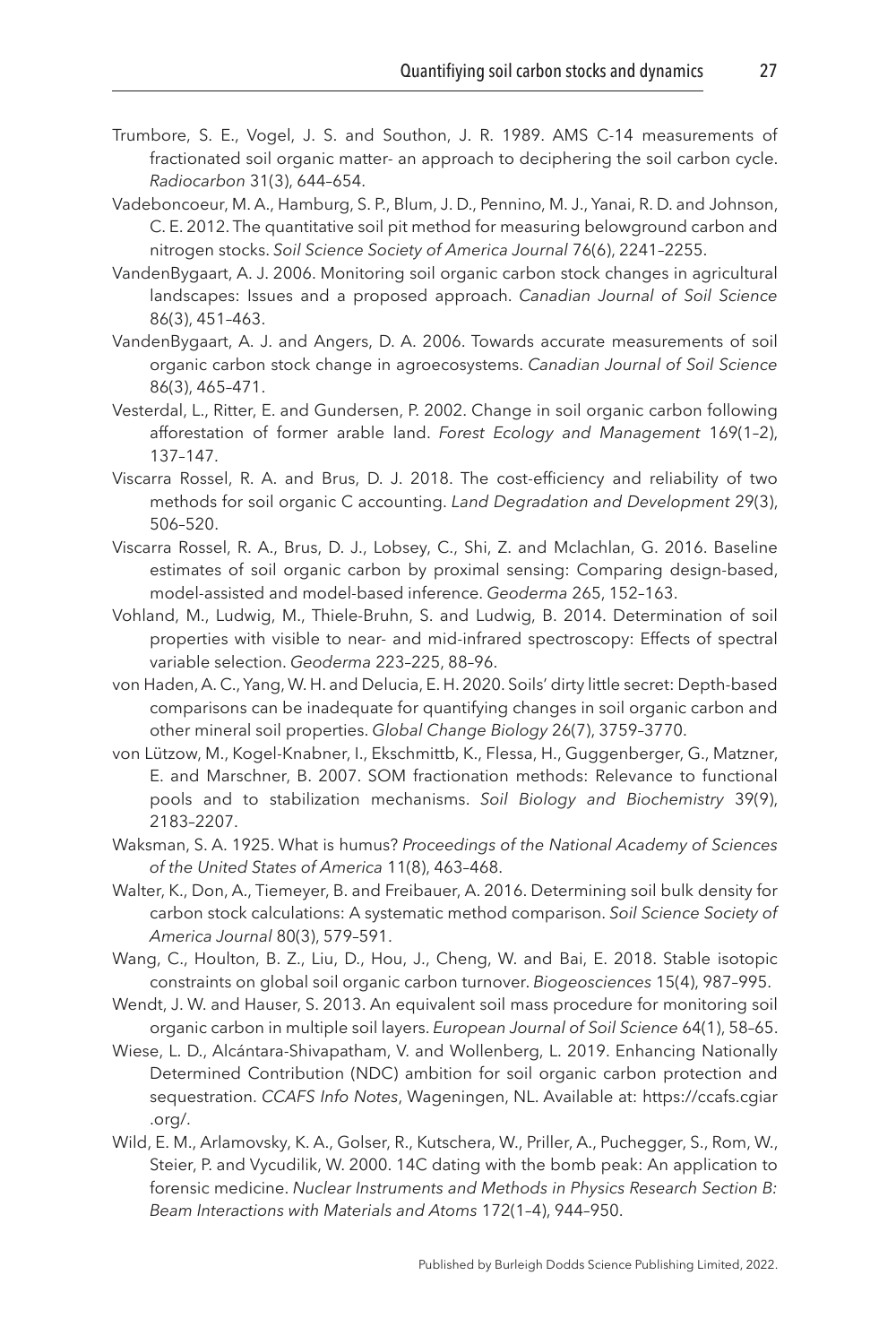- <span id="page-27-14"></span>Trumbore, S. E., Vogel, J. S. and Southon, J. R. 1989. AMS C-14 measurements of fractionated soil organic matter- an approach to deciphering the soil carbon cycle. *Radiocarbon* 31(3), 644–654.
- <span id="page-27-6"></span>Vadeboncoeur, M. A., Hamburg, S. P., Blum, J. D., Pennino, M. J., Yanai, R. D. and Johnson, C. E. 2012. The quantitative soil pit method for measuring belowground carbon and nitrogen stocks. *Soil Science Society of America Journal* 76(6), 2241–2255.
- <span id="page-27-3"></span>VandenBygaart, A. J. 2006. Monitoring soil organic carbon stock changes in agricultural landscapes: Issues and a proposed approach. *Canadian Journal of Soil Science* 86(3), 451–463.
- <span id="page-27-2"></span>VandenBygaart, A. J. and Angers, D. A. 2006. Towards accurate measurements of soil organic carbon stock change in agroecosystems. *Canadian Journal of Soil Science* 86(3), 465–471.
- <span id="page-27-10"></span>Vesterdal, L., Ritter, E. and Gundersen, P. 2002. Change in soil organic carbon following afforestation of former arable land. *Forest Ecology and Management* 169(1–2), 137–147.
- <span id="page-27-0"></span>Viscarra Rossel, R. A. and Brus, D. J. 2018. The cost-efficiency and reliability of two methods for soil organic C accounting. *Land Degradation and Development* 29(3), 506–520.
- <span id="page-27-4"></span>Viscarra Rossel, R. A., Brus, D. J., Lobsey, C., Shi, Z. and Mclachlan, G. 2016. Baseline estimates of soil organic carbon by proximal sensing: Comparing design-based, model-assisted and model-based inference. *Geoderma* 265, 152–163.
- <span id="page-27-7"></span>Vohland, M., Ludwig, M., Thiele-Bruhn, S. and Ludwig, B. 2014. Determination of soil properties with visible to near- and mid-infrared spectroscopy: Effects of spectral variable selection. *Geoderma* 223–225, 88–96.
- <span id="page-27-8"></span>von Haden, A. C., Yang, W. H. and Delucia, E. H. 2020. Soils' dirty little secret: Depth-based comparisons can be inadequate for quantifying changes in soil organic carbon and other mineral soil properties. *Global Change Biology* 26(7), 3759–3770.
- <span id="page-27-11"></span>von Lützow, M., Kogel-Knabner, I., Ekschmittb, K., Flessa, H., Guggenberger, G., Matzner, E. and Marschner, B. 2007. SOM fractionation methods: Relevance to functional pools and to stabilization mechanisms. *Soil Biology and Biochemistry* 39(9), 2183–2207.
- <span id="page-27-12"></span>Waksman, S. A. 1925. What is humus? *Proceedings of the National Academy of Sciences of the United States of America* 11(8), 463–468.
- <span id="page-27-5"></span>Walter, K., Don, A., Tiemeyer, B. and Freibauer, A. 2016. Determining soil bulk density for carbon stock calculations: A systematic method comparison. *Soil Science Society of America Journal* 80(3), 579–591.
- <span id="page-27-13"></span>Wang, C., Houlton, B. Z., Liu, D., Hou, J., Cheng, W. and Bai, E. 2018. Stable isotopic constraints on global soil organic carbon turnover. *Biogeosciences* 15(4), 987–995.
- <span id="page-27-9"></span>Wendt, J. W. and Hauser, S. 2013. An equivalent soil mass procedure for monitoring soil organic carbon in multiple soil layers. *European Journal of Soil Science* 64(1), 58–65.
- <span id="page-27-1"></span>Wiese, L. D., Alcántara-Shivapatham, V. and Wollenberg, L. 2019. Enhancing Nationally Determined Contribution (NDC) ambition for soil organic carbon protection and sequestration. *CCAFS Info Notes*, Wageningen, NL. Available at: [https://ccafs.cgiar](http://dx.doi.org/https://ccafs.cgiar.org/) [.org/.](http://dx.doi.org/https://ccafs.cgiar.org/)
- <span id="page-27-15"></span>Wild, E. M., Arlamovsky, K. A., Golser, R., Kutschera, W., Priller, A., Puchegger, S., Rom, W., Steier, P. and Vycudilik, W. 2000. 14C dating with the bomb peak: An application to forensic medicine. *Nuclear Instruments and Methods in Physics Research Section B: Beam Interactions with Materials and Atoms* 172(1–4), 944–950.